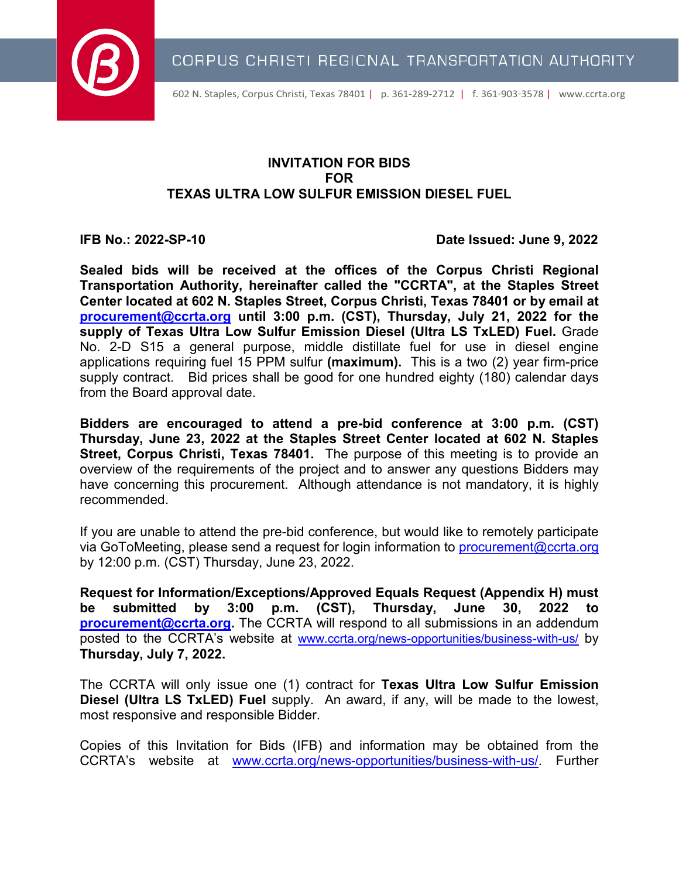

602 N. Staples, Corpus Christi, Texas 78401 | p. 361-289-2712 | f. 361-903-3578 | [www.ccrta.org](http://www.ccrta.org/)

# **INVITATION FOR BIDS FOR TEXAS ULTRA LOW SULFUR EMISSION DIESEL FUEL**

**IFB No.: 2022-SP-10 Date Issued: June 9, 2022**

**Sealed bids will be received at the offices of the Corpus Christi Regional Transportation Authority, hereinafter called the "CCRTA", at the Staples Street Center located at 602 N. Staples Street, Corpus Christi, Texas 78401 or by email at [procurement@ccrta.org](mailto:procurement@ccrta.org) until 3:00 p.m. (CST), Thursday, July 21, 2022 for the supply of Texas Ultra Low Sulfur Emission Diesel (Ultra LS TxLED) Fuel.** Grade No. 2-D S15 a general purpose, middle distillate fuel for use in diesel engine applications requiring fuel 15 PPM sulfur **(maximum).** This is a two (2) year firm-price supply contract. Bid prices shall be good for one hundred eighty (180) calendar days from the Board approval date.

**Bidders are encouraged to attend a pre-bid conference at 3:00 p.m. (CST) Thursday, June 23, 2022 at the Staples Street Center located at 602 N. Staples Street, Corpus Christi, Texas 78401.** The purpose of this meeting is to provide an overview of the requirements of the project and to answer any questions Bidders may have concerning this procurement. Although attendance is not mandatory, it is highly recommended.

If you are unable to attend the pre-bid conference, but would like to remotely participate via GoToMeeting, please send a request for login information to [procurement@ccrta.org](mailto:procurement@ccrta.org) by 12:00 p.m. (CST) Thursday, June 23, 2022.

**Request for Information/Exceptions/Approved Equals Request (Appendix H) must be submitted by 3:00 p.m. (CST), Thursday, June 30, 2022 to [procurement@ccrta.org.](mailto:procurement@ccrta.org)** The CCRTA will respond to all submissions in an addendum posted to the CCRTA's website at [www.ccrta.org/news-opportunities/business-with-us/](http://www.ccrta.org/news-opportunities/business-with-us/) by **Thursday, July 7, 2022.**

The CCRTA will only issue one (1) contract for **Texas Ultra Low Sulfur Emission Diesel (Ultra LS TxLED) Fuel** supply. An award, if any, will be made to the lowest, most responsive and responsible Bidder.

Copies of this Invitation for Bids (IFB) and information may be obtained from the CCRTA's website at [www.ccrta.org/news-opportunities/business-with-us/.](http://www.ccrta.org/news-opportunities/business-with-us/) Further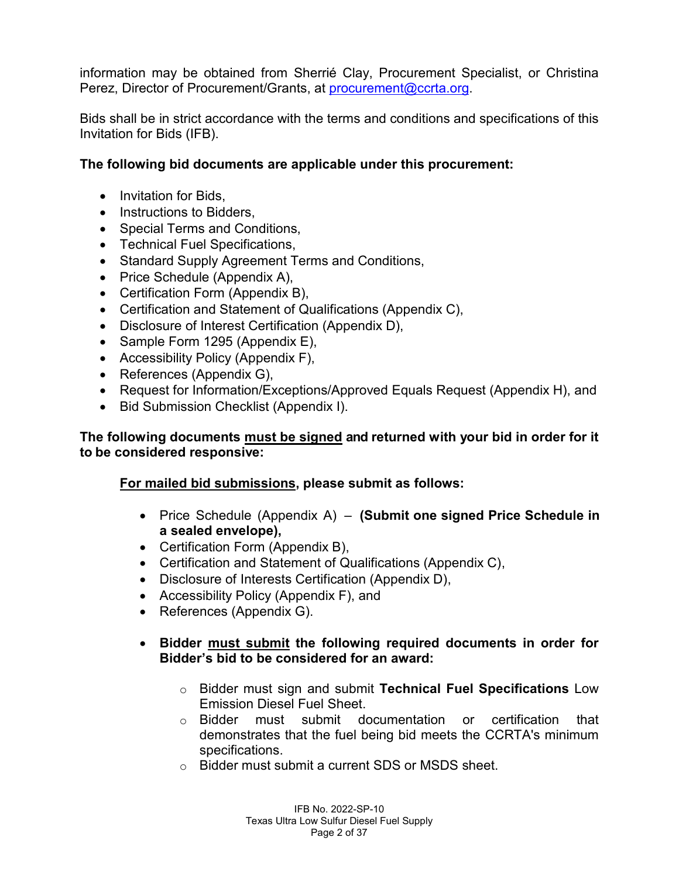information may be obtained from Sherrié Clay, Procurement Specialist, or Christina Perez, Director of Procurement/Grants, at [procurement@ccrta.org.](mailto:procurement@ccrta.org)

Bids shall be in strict accordance with the terms and conditions and specifications of this Invitation for Bids (IFB).

# **The following bid documents are applicable under this procurement:**

- Invitation for Bids,
- Instructions to Bidders,
- Special Terms and Conditions,
- Technical Fuel Specifications,
- Standard Supply Agreement Terms and Conditions,
- Price Schedule (Appendix A),
- Certification Form (Appendix B),
- Certification and Statement of Qualifications (Appendix C),
- Disclosure of Interest Certification (Appendix D),
- Sample Form 1295 (Appendix E),
- Accessibility Policy (Appendix F),
- References (Appendix G),
- Request for Information/Exceptions/Approved Equals Request (Appendix H), and
- Bid Submission Checklist (Appendix I).

# **The following documents must be signed and returned with your bid in order for it to be considered responsive:**

# **For mailed bid submissions, please submit as follows:**

- Price Schedule (Appendix A) **(Submit one signed Price Schedule in a sealed envelope),**
- Certification Form (Appendix B),
- Certification and Statement of Qualifications (Appendix C),
- Disclosure of Interests Certification (Appendix D),
- Accessibility Policy (Appendix F), and
- References (Appendix G).
- **Bidder must submit the following required documents in order for Bidder's bid to be considered for an award:**
	- o Bidder must sign and submit **Technical Fuel Specifications** Low Emission Diesel Fuel Sheet.
	- o Bidder must submit documentation or certification that demonstrates that the fuel being bid meets the CCRTA's minimum specifications.
	- o Bidder must submit a current SDS or MSDS sheet.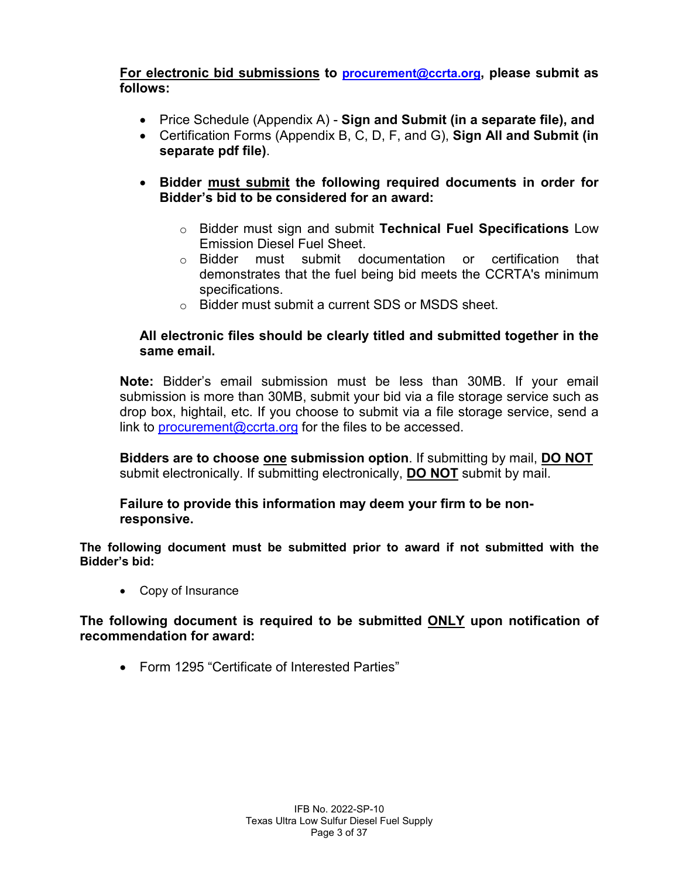**For electronic bid submissions to [procurement@ccrta.org,](mailto:procurement@ccrta.org) please submit as follows:**

- Price Schedule (Appendix A) **Sign and Submit (in a separate file), and**
- Certification Forms (Appendix B, C, D, F, and G), **Sign All and Submit (in separate pdf file)**.
- **Bidder must submit the following required documents in order for Bidder's bid to be considered for an award:**
	- o Bidder must sign and submit **Technical Fuel Specifications** Low Emission Diesel Fuel Sheet.
	- o Bidder must submit documentation or certification that demonstrates that the fuel being bid meets the CCRTA's minimum specifications.
	- o Bidder must submit a current SDS or MSDS sheet.

# **All electronic files should be clearly titled and submitted together in the same email.**

**Note:** Bidder's email submission must be less than 30MB. If your email submission is more than 30MB, submit your bid via a file storage service such as drop box, hightail, etc. If you choose to submit via a file storage service, send a link to [procurement@ccrta.org](mailto:procurement@ccrta.org) for the files to be accessed.

**Bidders are to choose one submission option**. If submitting by mail, **DO NOT** submit electronically. If submitting electronically, **DO NOT** submit by mail.

#### **Failure to provide this information may deem your firm to be nonresponsive.**

**The following document must be submitted prior to award if not submitted with the Bidder's bid:**

• Copy of Insurance

#### **The following document is required to be submitted ONLY upon notification of recommendation for award:**

• Form 1295 "Certificate of Interested Parties"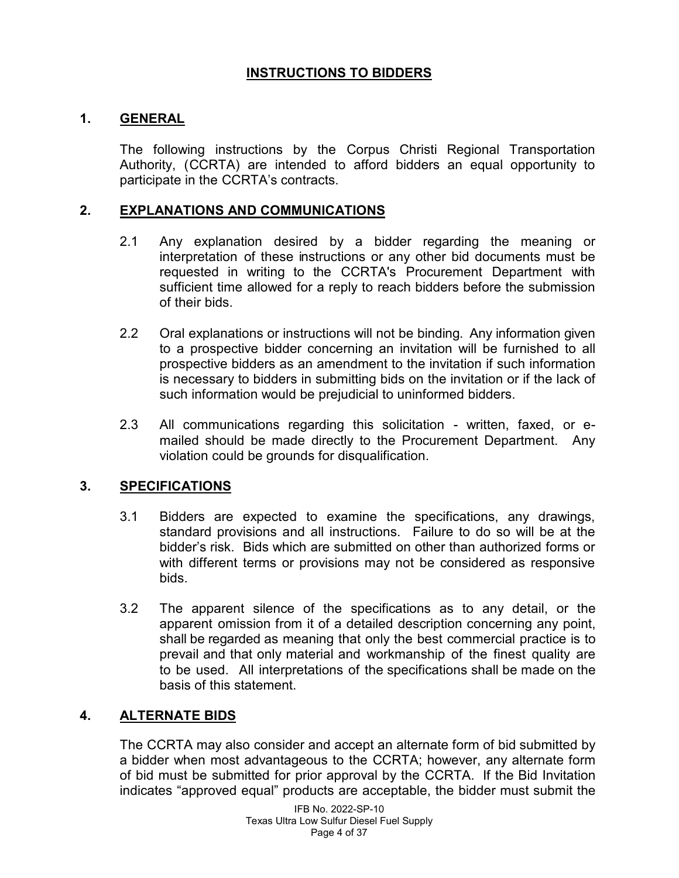# **INSTRUCTIONS TO BIDDERS**

#### **1. GENERAL**

The following instructions by the Corpus Christi Regional Transportation Authority, (CCRTA) are intended to afford bidders an equal opportunity to participate in the CCRTA's contracts.

#### **2. EXPLANATIONS AND COMMUNICATIONS**

- 2.1 Any explanation desired by a bidder regarding the meaning or interpretation of these instructions or any other bid documents must be requested in writing to the CCRTA's Procurement Department with sufficient time allowed for a reply to reach bidders before the submission of their bids.
- 2.2 Oral explanations or instructions will not be binding. Any information given to a prospective bidder concerning an invitation will be furnished to all prospective bidders as an amendment to the invitation if such information is necessary to bidders in submitting bids on the invitation or if the lack of such information would be prejudicial to uninformed bidders.
- 2.3 All communications regarding this solicitation written, faxed, or emailed should be made directly to the Procurement Department. Any violation could be grounds for disqualification.

#### **3. SPECIFICATIONS**

- 3.1 Bidders are expected to examine the specifications, any drawings, standard provisions and all instructions. Failure to do so will be at the bidder's risk. Bids which are submitted on other than authorized forms or with different terms or provisions may not be considered as responsive bids.
- 3.2 The apparent silence of the specifications as to any detail, or the apparent omission from it of a detailed description concerning any point, shall be regarded as meaning that only the best commercial practice is to prevail and that only material and workmanship of the finest quality are to be used. All interpretations of the specifications shall be made on the basis of this statement.

# **4. ALTERNATE BIDS**

The CCRTA may also consider and accept an alternate form of bid submitted by a bidder when most advantageous to the CCRTA; however, any alternate form of bid must be submitted for prior approval by the CCRTA. If the Bid Invitation indicates "approved equal" products are acceptable, the bidder must submit the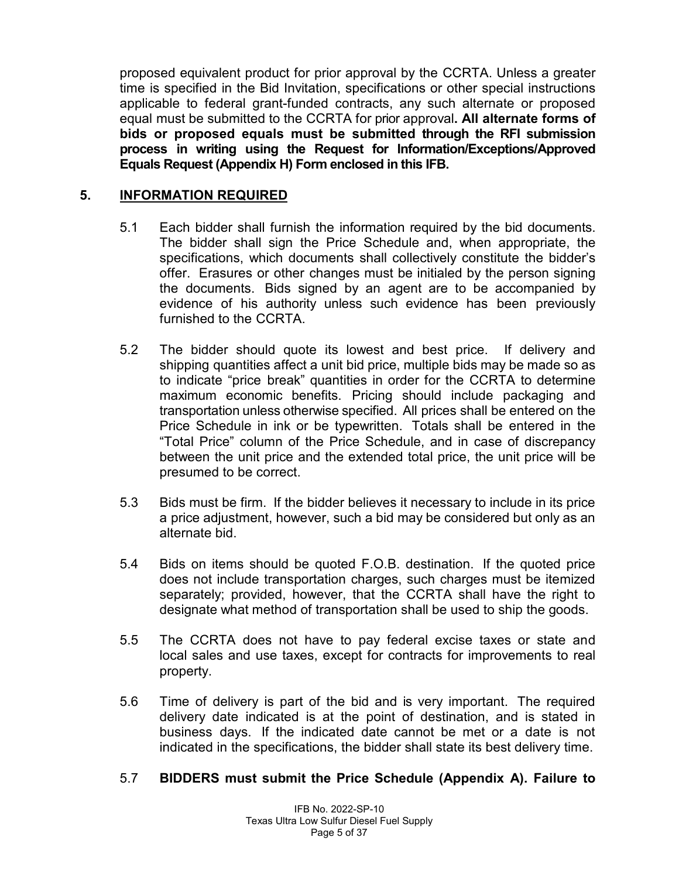proposed equivalent product for prior approval by the CCRTA. Unless a greater time is specified in the Bid Invitation, specifications or other special instructions applicable to federal grant-funded contracts, any such alternate or proposed equal must be submitted to the CCRTA for prior approval**. All alternate forms of bids or proposed equals must be submitted through the RFI submission process in writing using the Request for Information/Exceptions/Approved Equals Request (Appendix H) Form enclosed in this IFB.**

# **5. INFORMATION REQUIRED**

- 5.1 Each bidder shall furnish the information required by the bid documents. The bidder shall sign the Price Schedule and, when appropriate, the specifications, which documents shall collectively constitute the bidder's offer. Erasures or other changes must be initialed by the person signing the documents. Bids signed by an agent are to be accompanied by evidence of his authority unless such evidence has been previously furnished to the CCRTA.
- 5.2 The bidder should quote its lowest and best price. If delivery and shipping quantities affect a unit bid price, multiple bids may be made so as to indicate "price break" quantities in order for the CCRTA to determine maximum economic benefits. Pricing should include packaging and transportation unless otherwise specified. All prices shall be entered on the Price Schedule in ink or be typewritten. Totals shall be entered in the "Total Price" column of the Price Schedule, and in case of discrepancy between the unit price and the extended total price, the unit price will be presumed to be correct.
- 5.3 Bids must be firm. If the bidder believes it necessary to include in its price a price adjustment, however, such a bid may be considered but only as an alternate bid.
- 5.4 Bids on items should be quoted F.O.B. destination. If the quoted price does not include transportation charges, such charges must be itemized separately; provided, however, that the CCRTA shall have the right to designate what method of transportation shall be used to ship the goods.
- 5.5 The CCRTA does not have to pay federal excise taxes or state and local sales and use taxes, except for contracts for improvements to real property.
- 5.6 Time of delivery is part of the bid and is very important. The required delivery date indicated is at the point of destination, and is stated in business days. If the indicated date cannot be met or a date is not indicated in the specifications, the bidder shall state its best delivery time.

#### 5.7 **BIDDERS must submit the Price Schedule (Appendix A). Failure to**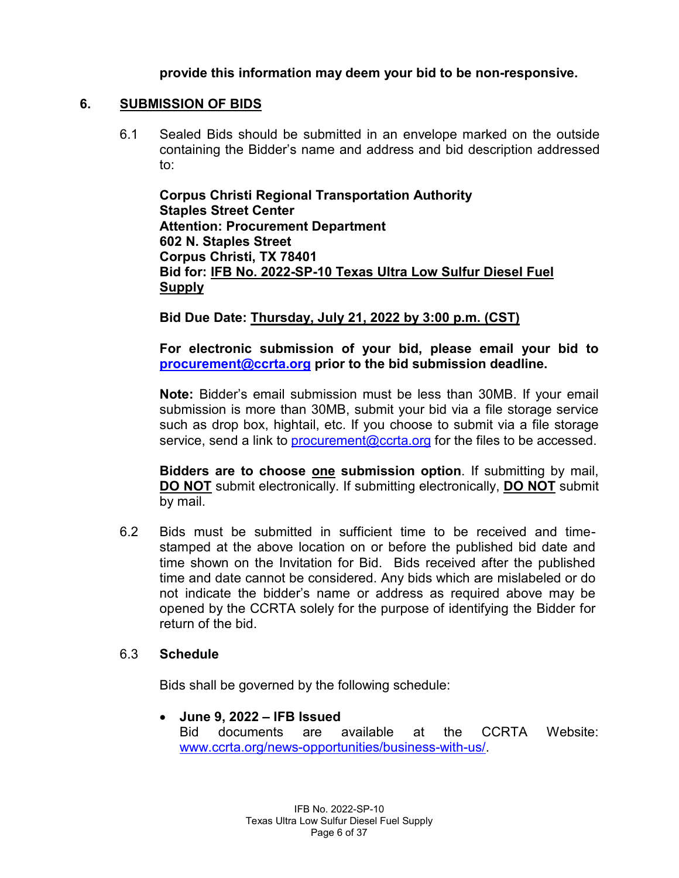**provide this information may deem your bid to be non-responsive.**

#### **6. SUBMISSION OF BIDS**

6.1 Sealed Bids should be submitted in an envelope marked on the outside containing the Bidder's name and address and bid description addressed to:

**Corpus Christi Regional Transportation Authority Staples Street Center Attention: Procurement Department 602 N. Staples Street Corpus Christi, TX 78401 Bid for: IFB No. 2022-SP-10 Texas Ultra Low Sulfur Diesel Fuel Supply**

# **Bid Due Date: Thursday, July 21, 2022 by 3:00 p.m. (CST)**

**For electronic submission of your bid, please email your bid to [procurement@ccrta.org](mailto:procurement@ccrta.org) prior to the bid submission deadline.** 

**Note:** Bidder's email submission must be less than 30MB. If your email submission is more than 30MB, submit your bid via a file storage service such as drop box, hightail, etc. If you choose to submit via a file storage service, send a link to procurement  $@ccrta.org$  for the files to be accessed.

**Bidders are to choose one submission option**. If submitting by mail, **DO NOT** submit electronically. If submitting electronically, **DO NOT** submit by mail.

6.2 Bids must be submitted in sufficient time to be received and timestamped at the above location on or before the published bid date and time shown on the Invitation for Bid. Bids received after the published time and date cannot be considered. Any bids which are mislabeled or do not indicate the bidder's name or address as required above may be opened by the CCRTA solely for the purpose of identifying the Bidder for return of the bid.

#### 6.3 **Schedule**

Bids shall be governed by the following schedule:

• **June 9, 2022 – IFB Issued** Bid documents are available at the CCRTA Website: [www.ccrta.org/news-opportunities/business-with-us/.](http://www.ccrta.org/news-opportunities/business-with-us/)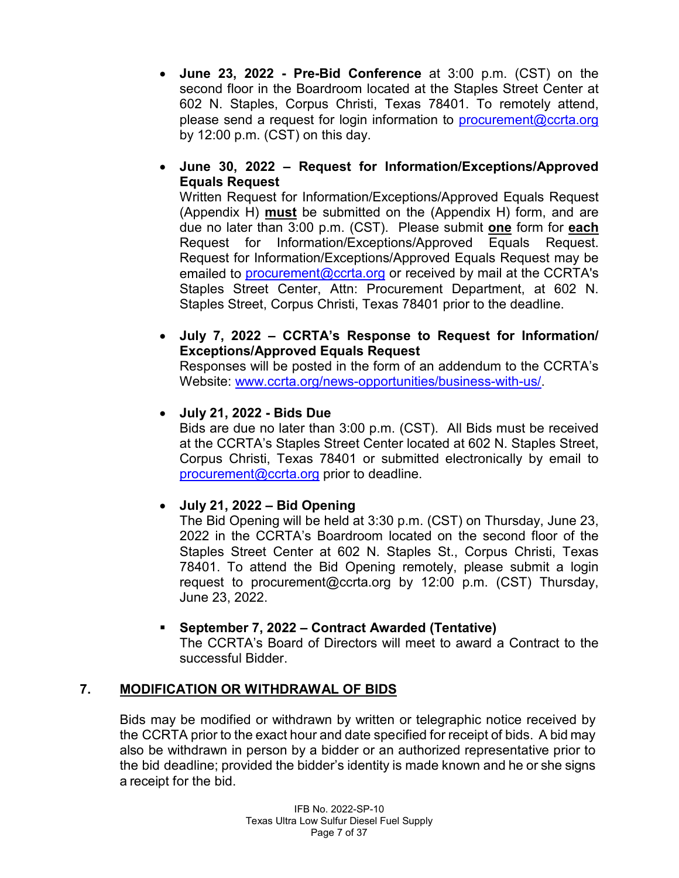- **June 23, 2022 - Pre-Bid Conference** at 3:00 p.m. (CST) on the second floor in the Boardroom located at the Staples Street Center at 602 N. Staples, Corpus Christi, Texas 78401. To remotely attend, please send a request for login information to [procurement@ccrta.org](mailto:procurement@ccrta.org) by 12:00 p.m. (CST) on this day.
- **June 30, 2022 – Request for Information/Exceptions/Approved Equals Request**

Written Request for Information/Exceptions/Approved Equals Request (Appendix H) **must** be submitted on the (Appendix H) form, and are due no later than 3:00 p.m. (CST). Please submit **one** form for **each** Request for Information/Exceptions/Approved Equals Request. Request for Information/Exceptions/Approved Equals Request may be emailed to [procurement@ccrta.org](mailto:procurement@ccrta.org) or received by mail at the CCRTA's Staples Street Center, Attn: Procurement Department, at 602 N. Staples Street, Corpus Christi, Texas 78401 prior to the deadline.

• **July 7, 2022 – CCRTA's Response to Request for Information/ Exceptions/Approved Equals Request**

Responses will be posted in the form of an addendum to the CCRTA's Website: [www.ccrta.org/news-opportunities/business-with-us/.](http://www.ccrta.org/news-opportunities/business-with-us/)

# • **July 21, 2022 - Bids Due**

Bids are due no later than 3:00 p.m. (CST). All Bids must be received at the CCRTA's Staples Street Center located at 602 N. Staples Street, Corpus Christi, Texas 78401 or submitted electronically by email to [procurement@ccrta.org](mailto:procurement@ccrta.org) prior to deadline.

# • **July 21, 2022 – Bid Opening**

The Bid Opening will be held at 3:30 p.m. (CST) on Thursday, June 23, 2022 in the CCRTA's Boardroom located on the second floor of the Staples Street Center at 602 N. Staples St., Corpus Christi, Texas 78401. To attend the Bid Opening remotely, please submit a login request to procurement@ccrta.org by 12:00 p.m. (CST) Thursday, June 23, 2022.

 **September 7, 2022 – Contract Awarded (Tentative)** The CCRTA's Board of Directors will meet to award a Contract to the successful Bidder.

# **7. MODIFICATION OR WITHDRAWAL OF BIDS**

Bids may be modified or withdrawn by written or telegraphic notice received by the CCRTA prior to the exact hour and date specified for receipt of bids. A bid may also be withdrawn in person by a bidder or an authorized representative prior to the bid deadline; provided the bidder's identity is made known and he or she signs a receipt for the bid.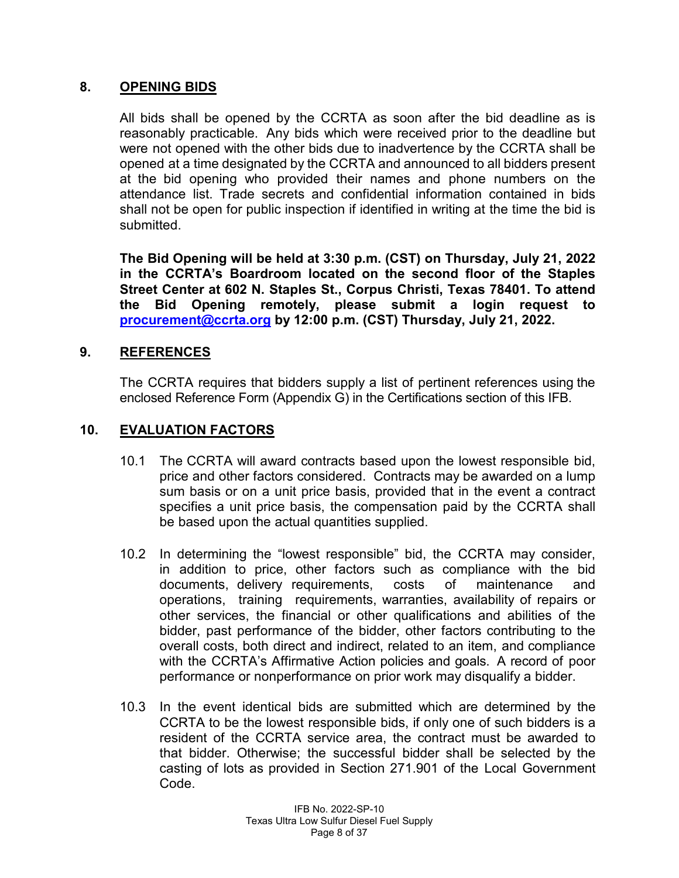# **8. OPENING BIDS**

All bids shall be opened by the CCRTA as soon after the bid deadline as is reasonably practicable. Any bids which were received prior to the deadline but were not opened with the other bids due to inadvertence by the CCRTA shall be opened at a time designated by the CCRTA and announced to all bidders present at the bid opening who provided their names and phone numbers on the attendance list. Trade secrets and confidential information contained in bids shall not be open for public inspection if identified in writing at the time the bid is submitted.

**The Bid Opening will be held at 3:30 p.m. (CST) on Thursday, July 21, 2022 in the CCRTA's Boardroom located on the second floor of the Staples Street Center at 602 N. Staples St., Corpus Christi, Texas 78401. To attend the Bid Opening remotely, please submit a login request to [procurement@ccrta.org](mailto:procurement@ccrta.org) by 12:00 p.m. (CST) Thursday, July 21, 2022.**

#### **9. REFERENCES**

The CCRTA requires that bidders supply a list of pertinent references using the enclosed Reference Form (Appendix G) in the Certifications section of this IFB.

#### **10. EVALUATION FACTORS**

- 10.1 The CCRTA will award contracts based upon the lowest responsible bid, price and other factors considered. Contracts may be awarded on a lump sum basis or on a unit price basis, provided that in the event a contract specifies a unit price basis, the compensation paid by the CCRTA shall be based upon the actual quantities supplied.
- 10.2 In determining the "lowest responsible" bid, the CCRTA may consider, in addition to price, other factors such as compliance with the bid documents, delivery requirements, costs of maintenance and operations, training requirements, warranties, availability of repairs or other services, the financial or other qualifications and abilities of the bidder, past performance of the bidder, other factors contributing to the overall costs, both direct and indirect, related to an item, and compliance with the CCRTA's Affirmative Action policies and goals. A record of poor performance or nonperformance on prior work may disqualify a bidder.
- 10.3 In the event identical bids are submitted which are determined by the CCRTA to be the lowest responsible bids, if only one of such bidders is a resident of the CCRTA service area, the contract must be awarded to that bidder. Otherwise; the successful bidder shall be selected by the casting of lots as provided in Section 271.901 of the Local Government Code.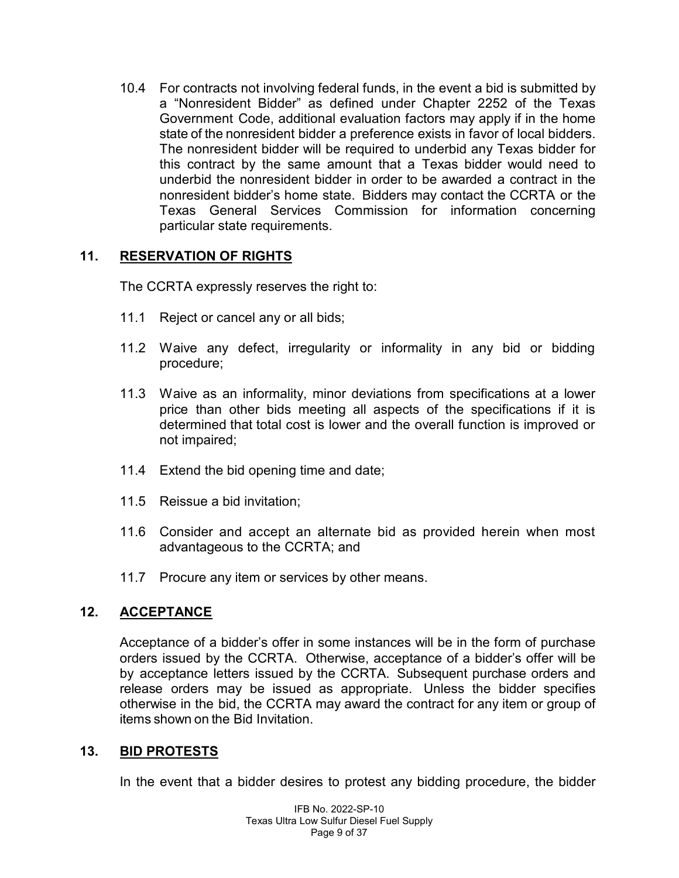10.4 For contracts not involving federal funds, in the event a bid is submitted by a "Nonresident Bidder" as defined under Chapter 2252 of the Texas Government Code, additional evaluation factors may apply if in the home state of the nonresident bidder a preference exists in favor of local bidders. The nonresident bidder will be required to underbid any Texas bidder for this contract by the same amount that a Texas bidder would need to underbid the nonresident bidder in order to be awarded a contract in the nonresident bidder's home state. Bidders may contact the CCRTA or the Texas General Services Commission for information concerning particular state requirements.

# **11. RESERVATION OF RIGHTS**

The CCRTA expressly reserves the right to:

- 11.1 Reject or cancel any or all bids;
- 11.2 Waive any defect, irregularity or informality in any bid or bidding procedure;
- 11.3 Waive as an informality, minor deviations from specifications at a lower price than other bids meeting all aspects of the specifications if it is determined that total cost is lower and the overall function is improved or not impaired;
- 11.4 Extend the bid opening time and date;
- 11.5 Reissue a bid invitation;
- 11.6 Consider and accept an alternate bid as provided herein when most advantageous to the CCRTA; and
- 11.7 Procure any item or services by other means.

# **12. ACCEPTANCE**

Acceptance of a bidder's offer in some instances will be in the form of purchase orders issued by the CCRTA. Otherwise, acceptance of a bidder's offer will be by acceptance letters issued by the CCRTA. Subsequent purchase orders and release orders may be issued as appropriate. Unless the bidder specifies otherwise in the bid, the CCRTA may award the contract for any item or group of items shown on the Bid Invitation.

#### **13. BID PROTESTS**

In the event that a bidder desires to protest any bidding procedure, the bidder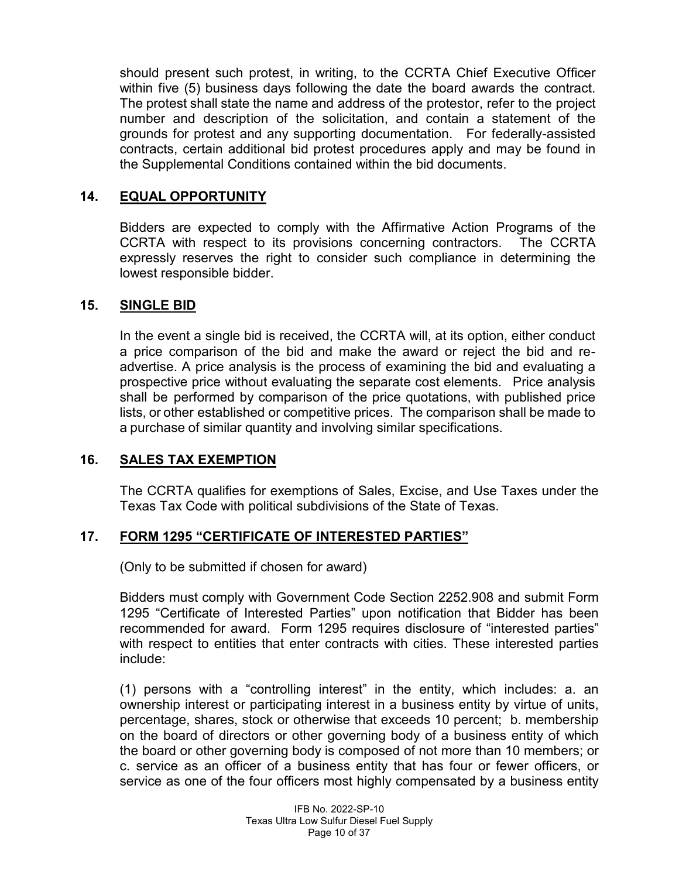should present such protest, in writing, to the CCRTA Chief Executive Officer within five (5) business days following the date the board awards the contract. The protest shall state the name and address of the protestor, refer to the project number and description of the solicitation, and contain a statement of the grounds for protest and any supporting documentation. For federally-assisted contracts, certain additional bid protest procedures apply and may be found in the Supplemental Conditions contained within the bid documents.

#### **14. EQUAL OPPORTUNITY**

Bidders are expected to comply with the Affirmative Action Programs of the CCRTA with respect to its provisions concerning contractors. The CCRTA expressly reserves the right to consider such compliance in determining the lowest responsible bidder.

#### **15. SINGLE BID**

In the event a single bid is received, the CCRTA will, at its option, either conduct a price comparison of the bid and make the award or reject the bid and readvertise. A price analysis is the process of examining the bid and evaluating a prospective price without evaluating the separate cost elements. Price analysis shall be performed by comparison of the price quotations, with published price lists, or other established or competitive prices. The comparison shall be made to a purchase of similar quantity and involving similar specifications.

#### **16. SALES TAX EXEMPTION**

The CCRTA qualifies for exemptions of Sales, Excise, and Use Taxes under the Texas Tax Code with political subdivisions of the State of Texas.

#### **17. FORM 1295 "CERTIFICATE OF INTERESTED PARTIES"**

(Only to be submitted if chosen for award)

Bidders must comply with Government Code Section 2252.908 and submit Form 1295 "Certificate of Interested Parties" upon notification that Bidder has been recommended for award. Form 1295 requires disclosure of "interested parties" with respect to entities that enter contracts with cities. These interested parties include:

(1) persons with a "controlling interest" in the entity, which includes: a. an ownership interest or participating interest in a business entity by virtue of units, percentage, shares, stock or otherwise that exceeds 10 percent; b. membership on the board of directors or other governing body of a business entity of which the board or other governing body is composed of not more than 10 members; or c. service as an officer of a business entity that has four or fewer officers, or service as one of the four officers most highly compensated by a business entity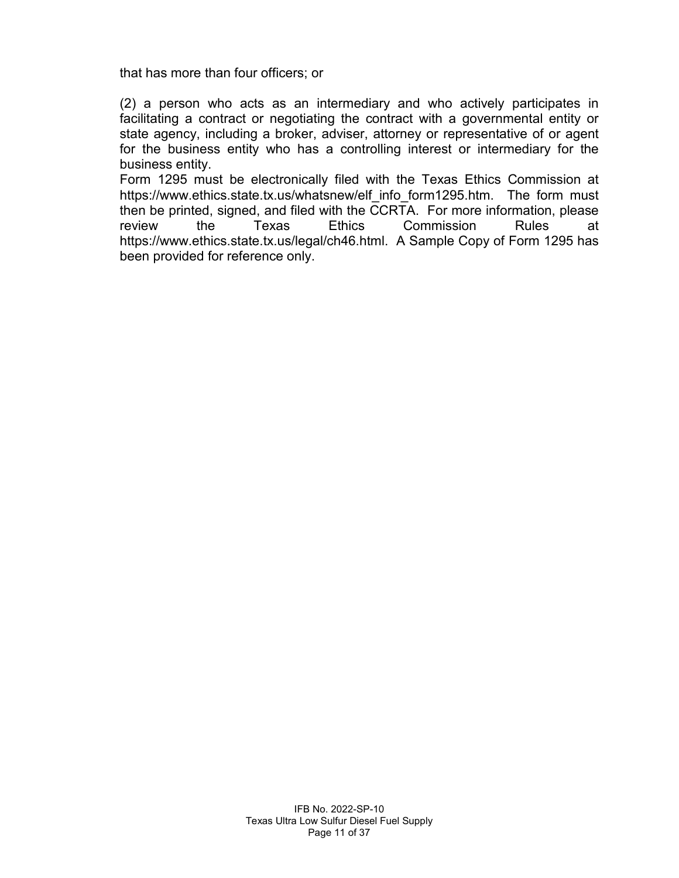that has more than four officers; or

(2) a person who acts as an intermediary and who actively participates in facilitating a contract or negotiating the contract with a governmental entity or state agency, including a broker, adviser, attorney or representative of or agent for the business entity who has a controlling interest or intermediary for the business entity.

Form 1295 must be electronically filed with the Texas Ethics Commission at https://www.ethics.state.tx.us/whatsnew/elf info\_form1295.htm. The form must then be printed, signed, and filed with the CCRTA. For more information, please review the Texas Ethics Commission Rules at https://www.ethics.state.tx.us/legal/ch46.html. A Sample Copy of Form 1295 has been provided for reference only.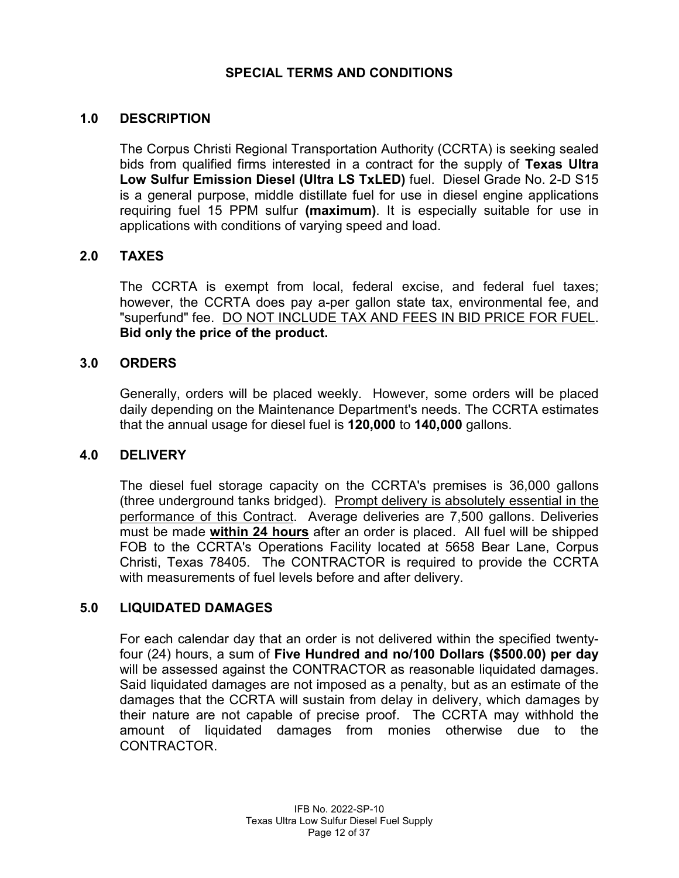#### **SPECIAL TERMS AND CONDITIONS**

#### **1.0 DESCRIPTION**

The Corpus Christi Regional Transportation Authority (CCRTA) is seeking sealed bids from qualified firms interested in a contract for the supply of **Texas Ultra Low Sulfur Emission Diesel (Ultra LS TxLED)** fuel. Diesel Grade No. 2-D S15 is a general purpose, middle distillate fuel for use in diesel engine applications requiring fuel 15 PPM sulfur **(maximum)**. It is especially suitable for use in applications with conditions of varying speed and load.

#### **2.0 TAXES**

The CCRTA is exempt from local, federal excise, and federal fuel taxes; however, the CCRTA does pay a-per gallon state tax, environmental fee, and "superfund" fee. DO NOT INCLUDE TAX AND FEES IN BID PRICE FOR FUEL. **Bid only the price of the product.**

#### **3.0 ORDERS**

Generally, orders will be placed weekly. However, some orders will be placed daily depending on the Maintenance Department's needs. The CCRTA estimates that the annual usage for diesel fuel is **120,000** to **140,000** gallons.

#### **4.0 DELIVERY**

The diesel fuel storage capacity on the CCRTA's premises is 36,000 gallons (three underground tanks bridged). Prompt delivery is absolutely essential in the performance of this Contract. Average deliveries are 7,500 gallons. Deliveries must be made **within 24 hours** after an order is placed. All fuel will be shipped FOB to the CCRTA's Operations Facility located at 5658 Bear Lane, Corpus Christi, Texas 78405. The CONTRACTOR is required to provide the CCRTA with measurements of fuel levels before and after delivery.

#### **5.0 LIQUIDATED DAMAGES**

For each calendar day that an order is not delivered within the specified twentyfour (24) hours, a sum of **Five Hundred and no/100 Dollars (\$500.00) per day** will be assessed against the CONTRACTOR as reasonable liquidated damages. Said liquidated damages are not imposed as a penalty, but as an estimate of the damages that the CCRTA will sustain from delay in delivery, which damages by their nature are not capable of precise proof. The CCRTA may withhold the amount of liquidated damages from monies otherwise due to the CONTRACTOR.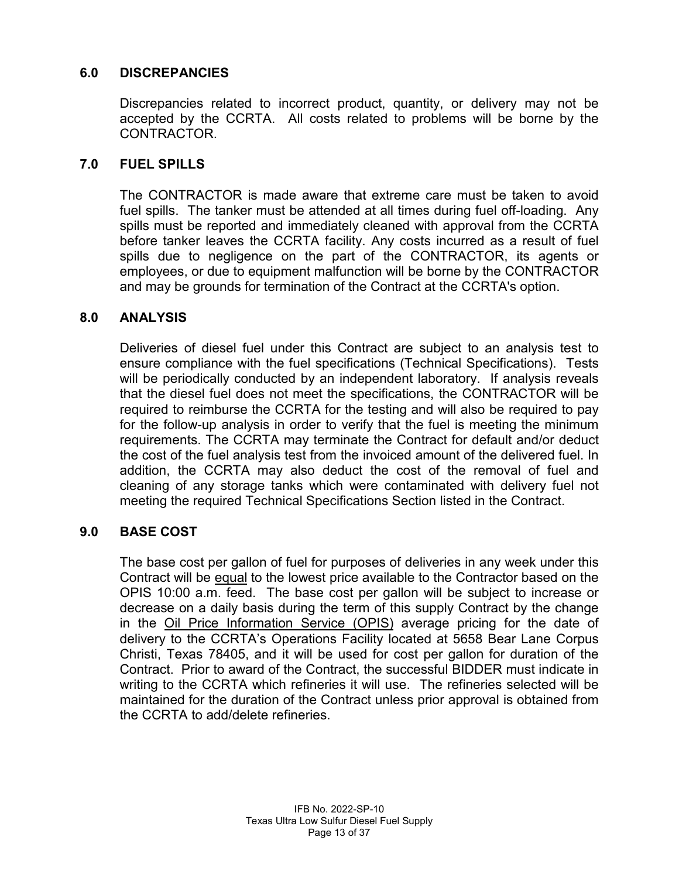# **6.0 DISCREPANCIES**

Discrepancies related to incorrect product, quantity, or delivery may not be accepted by the CCRTA. All costs related to problems will be borne by the CONTRACTOR.

#### **7.0 FUEL SPILLS**

The CONTRACTOR is made aware that extreme care must be taken to avoid fuel spills. The tanker must be attended at all times during fuel off-loading. Any spills must be reported and immediately cleaned with approval from the CCRTA before tanker leaves the CCRTA facility. Any costs incurred as a result of fuel spills due to negligence on the part of the CONTRACTOR, its agents or employees, or due to equipment malfunction will be borne by the CONTRACTOR and may be grounds for termination of the Contract at the CCRTA's option.

#### **8.0 ANALYSIS**

Deliveries of diesel fuel under this Contract are subject to an analysis test to ensure compliance with the fuel specifications (Technical Specifications). Tests will be periodically conducted by an independent laboratory. If analysis reveals that the diesel fuel does not meet the specifications, the CONTRACTOR will be required to reimburse the CCRTA for the testing and will also be required to pay for the follow-up analysis in order to verify that the fuel is meeting the minimum requirements. The CCRTA may terminate the Contract for default and/or deduct the cost of the fuel analysis test from the invoiced amount of the delivered fuel. In addition, the CCRTA may also deduct the cost of the removal of fuel and cleaning of any storage tanks which were contaminated with delivery fuel not meeting the required Technical Specifications Section listed in the Contract.

#### **9.0 BASE COST**

The base cost per gallon of fuel for purposes of deliveries in any week under this Contract will be equal to the lowest price available to the Contractor based on the OPIS 10:00 a.m. feed. The base cost per gallon will be subject to increase or decrease on a daily basis during the term of this supply Contract by the change in the Oil Price Information Service (OPIS) average pricing for the date of delivery to the CCRTA's Operations Facility located at 5658 Bear Lane Corpus Christi, Texas 78405, and it will be used for cost per gallon for duration of the Contract. Prior to award of the Contract, the successful BIDDER must indicate in writing to the CCRTA which refineries it will use. The refineries selected will be maintained for the duration of the Contract unless prior approval is obtained from the CCRTA to add/delete refineries.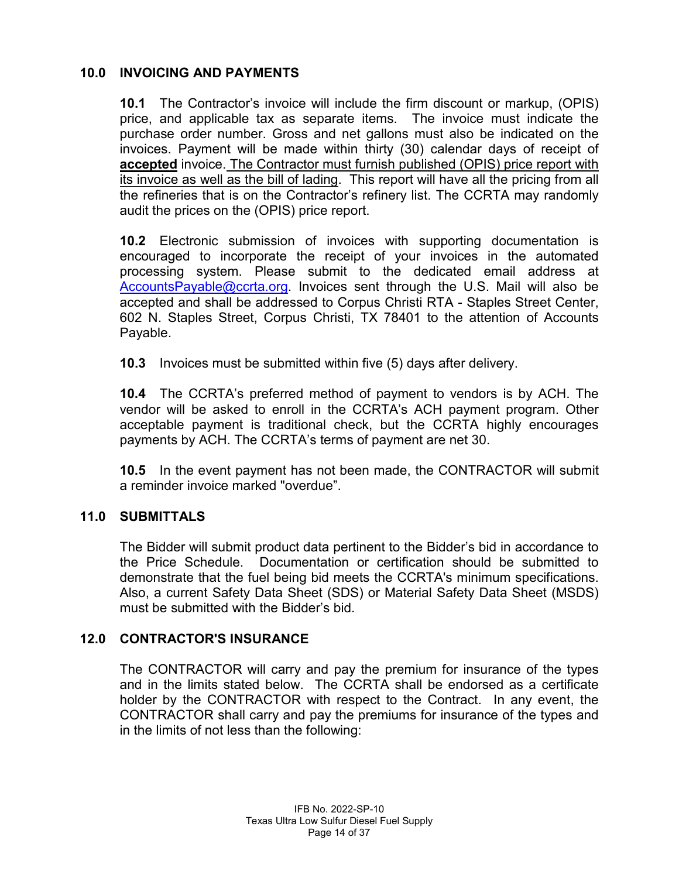# **10.0 INVOICING AND PAYMENTS**

**10.1** The Contractor's invoice will include the firm discount or markup, (OPIS) price, and applicable tax as separate items. The invoice must indicate the purchase order number. Gross and net gallons must also be indicated on the invoices. Payment will be made within thirty (30) calendar days of receipt of **accepted** invoice. The Contractor must furnish published (OPIS) price report with its invoice as well as the bill of lading. This report will have all the pricing from all the refineries that is on the Contractor's refinery list. The CCRTA may randomly audit the prices on the (OPIS) price report.

**10.2** Electronic submission of invoices with supporting documentation is encouraged to incorporate the receipt of your invoices in the automated processing system. Please submit to the dedicated email address at [AccountsPayable@ccrta.org.](mailto:AccountsPayable@ccrta.org) Invoices sent through the U.S. Mail will also be accepted and shall be addressed to Corpus Christi RTA - Staples Street Center, 602 N. Staples Street, Corpus Christi, TX 78401 to the attention of Accounts Payable.

**10.3** Invoices must be submitted within five (5) days after delivery.

**10.4** The CCRTA's preferred method of payment to vendors is by ACH. The vendor will be asked to enroll in the CCRTA's ACH payment program. Other acceptable payment is traditional check, but the CCRTA highly encourages payments by ACH. The CCRTA's terms of payment are net 30.

**10.5** In the event payment has not been made, the CONTRACTOR will submit a reminder invoice marked "overdue".

#### **11.0 SUBMITTALS**

The Bidder will submit product data pertinent to the Bidder's bid in accordance to the Price Schedule. Documentation or certification should be submitted to demonstrate that the fuel being bid meets the CCRTA's minimum specifications. Also, a current Safety Data Sheet (SDS) or Material Safety Data Sheet (MSDS) must be submitted with the Bidder's bid.

#### **12.0 CONTRACTOR'S INSURANCE**

The CONTRACTOR will carry and pay the premium for insurance of the types and in the limits stated below. The CCRTA shall be endorsed as a certificate holder by the CONTRACTOR with respect to the Contract. In any event, the CONTRACTOR shall carry and pay the premiums for insurance of the types and in the limits of not less than the following: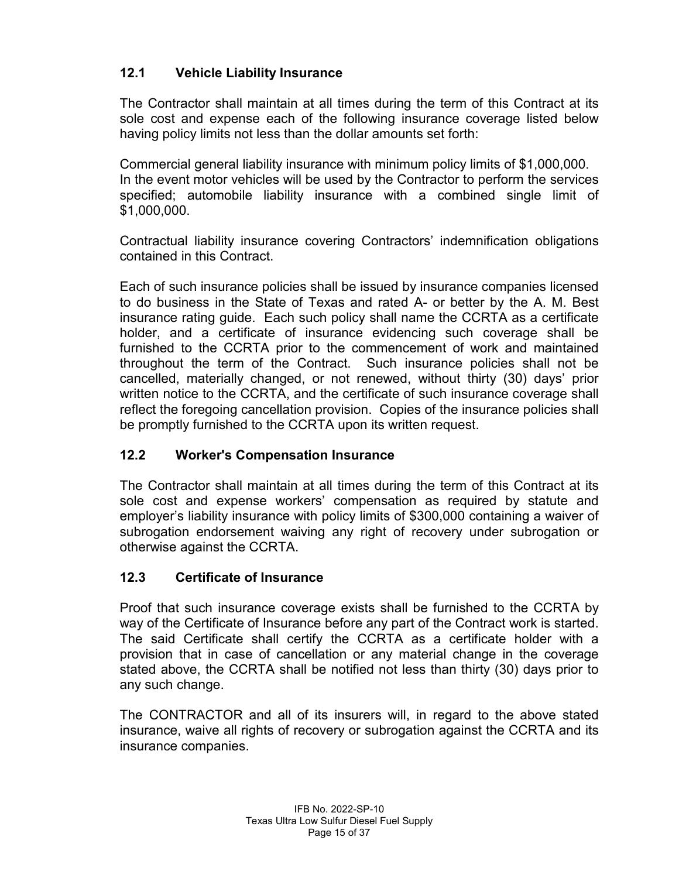# **12.1 Vehicle Liability Insurance**

The Contractor shall maintain at all times during the term of this Contract at its sole cost and expense each of the following insurance coverage listed below having policy limits not less than the dollar amounts set forth:

Commercial general liability insurance with minimum policy limits of \$1,000,000. In the event motor vehicles will be used by the Contractor to perform the services specified; automobile liability insurance with a combined single limit of \$1,000,000.

Contractual liability insurance covering Contractors' indemnification obligations contained in this Contract.

Each of such insurance policies shall be issued by insurance companies licensed to do business in the State of Texas and rated A- or better by the A. M. Best insurance rating guide. Each such policy shall name the CCRTA as a certificate holder, and a certificate of insurance evidencing such coverage shall be furnished to the CCRTA prior to the commencement of work and maintained throughout the term of the Contract. Such insurance policies shall not be cancelled, materially changed, or not renewed, without thirty (30) days' prior written notice to the CCRTA, and the certificate of such insurance coverage shall reflect the foregoing cancellation provision. Copies of the insurance policies shall be promptly furnished to the CCRTA upon its written request.

# **12.2 Worker's Compensation Insurance**

The Contractor shall maintain at all times during the term of this Contract at its sole cost and expense workers' compensation as required by statute and employer's liability insurance with policy limits of \$300,000 containing a waiver of subrogation endorsement waiving any right of recovery under subrogation or otherwise against the CCRTA.

# **12.3 Certificate of Insurance**

Proof that such insurance coverage exists shall be furnished to the CCRTA by way of the Certificate of Insurance before any part of the Contract work is started. The said Certificate shall certify the CCRTA as a certificate holder with a provision that in case of cancellation or any material change in the coverage stated above, the CCRTA shall be notified not less than thirty (30) days prior to any such change.

The CONTRACTOR and all of its insurers will, in regard to the above stated insurance, waive all rights of recovery or subrogation against the CCRTA and its insurance companies.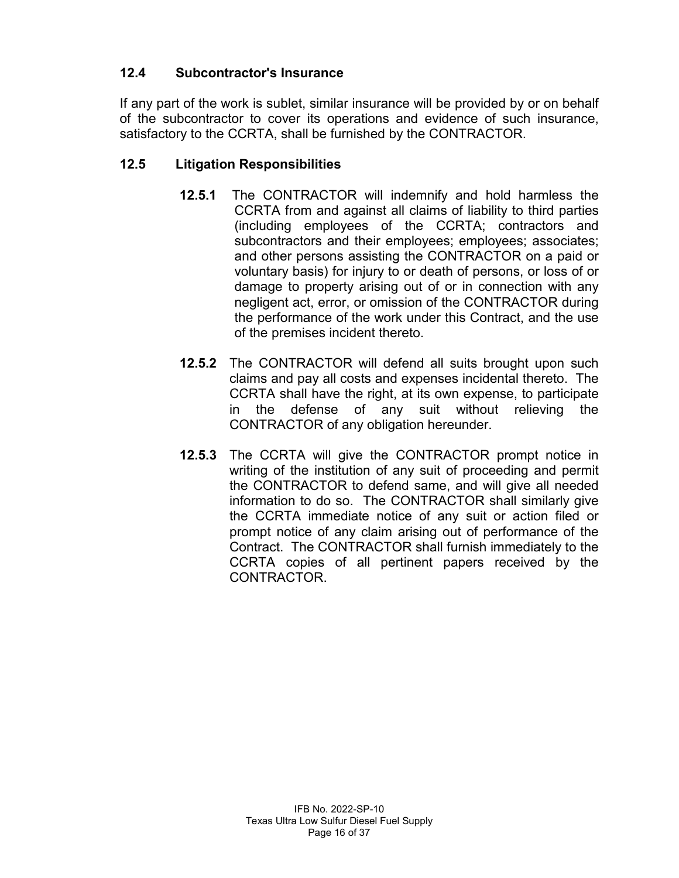# **12.4 Subcontractor's Insurance**

If any part of the work is sublet, similar insurance will be provided by or on behalf of the subcontractor to cover its operations and evidence of such insurance, satisfactory to the CCRTA, shall be furnished by the CONTRACTOR.

# **12.5 Litigation Responsibilities**

- **12.5.1** The CONTRACTOR will indemnify and hold harmless the CCRTA from and against all claims of liability to third parties (including employees of the CCRTA; contractors and subcontractors and their employees; employees; associates; and other persons assisting the CONTRACTOR on a paid or voluntary basis) for injury to or death of persons, or loss of or damage to property arising out of or in connection with any negligent act, error, or omission of the CONTRACTOR during the performance of the work under this Contract, and the use of the premises incident thereto.
- **12.5.2** The CONTRACTOR will defend all suits brought upon such claims and pay all costs and expenses incidental thereto. The CCRTA shall have the right, at its own expense, to participate in the defense of any suit without relieving the CONTRACTOR of any obligation hereunder.
- **12.5.3** The CCRTA will give the CONTRACTOR prompt notice in writing of the institution of any suit of proceeding and permit the CONTRACTOR to defend same, and will give all needed information to do so. The CONTRACTOR shall similarly give the CCRTA immediate notice of any suit or action filed or prompt notice of any claim arising out of performance of the Contract. The CONTRACTOR shall furnish immediately to the CCRTA copies of all pertinent papers received by the CONTRACTOR.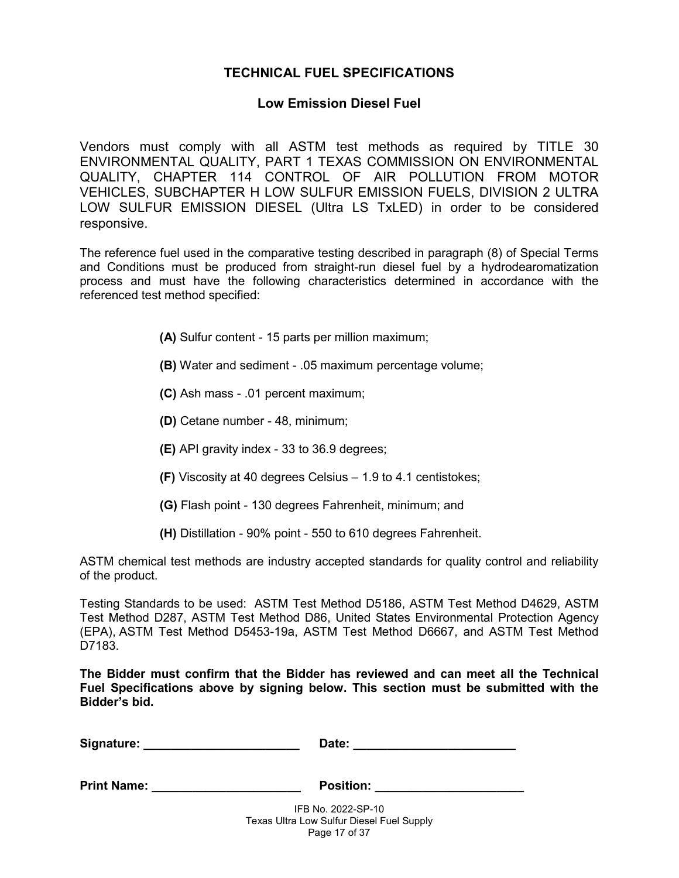#### **TECHNICAL FUEL SPECIFICATIONS**

#### **Low Emission Diesel Fuel**

Vendors must comply with all ASTM test methods as required by TITLE 30 ENVIRONMENTAL QUALITY, PART 1 TEXAS COMMISSION ON ENVIRONMENTAL QUALITY, CHAPTER 114 CONTROL OF AIR POLLUTION FROM MOTOR VEHICLES, SUBCHAPTER H LOW SULFUR EMISSION FUELS, DIVISION 2 ULTRA LOW SULFUR EMISSION DIESEL (Ultra LS TxLED) in order to be considered responsive.

The reference fuel used in the comparative testing described in paragraph (8) of Special Terms and Conditions must be produced from straight-run diesel fuel by a hydrodearomatization process and must have the following characteristics determined in accordance with the referenced test method specified:

- **(A)** Sulfur content 15 parts per million maximum;
- **(B)** Water and sediment .05 maximum percentage volume;
- **(C)** Ash mass .01 percent maximum;
- **(D)** Cetane number 48, minimum;
- **(E)** API gravity index 33 to 36.9 degrees;
- **(F)** Viscosity at 40 degrees Celsius 1.9 to 4.1 centistokes;
- **(G)** Flash point 130 degrees Fahrenheit, minimum; and
- **(H)** Distillation 90% point 550 to 610 degrees Fahrenheit.

ASTM chemical test methods are industry accepted standards for quality control and reliability of the product.

Testing Standards to be used: ASTM Test Method D5186, ASTM Test Method D4629, ASTM Test Method D287, ASTM Test Method D86, United States Environmental Protection Agency (EPA), ASTM Test Method D5453-19a, ASTM Test Method D6667, and ASTM Test Method D7183.

**The Bidder must confirm that the Bidder has reviewed and can meet all the Technical Fuel Specifications above by signing below. This section must be submitted with the Bidder's bid.** 

| Signature:<br>Date: |  |
|---------------------|--|
|---------------------|--|

IFB No. 2022-SP-10 Texas Ultra Low Sulfur Diesel Fuel Supply Page 17 of 37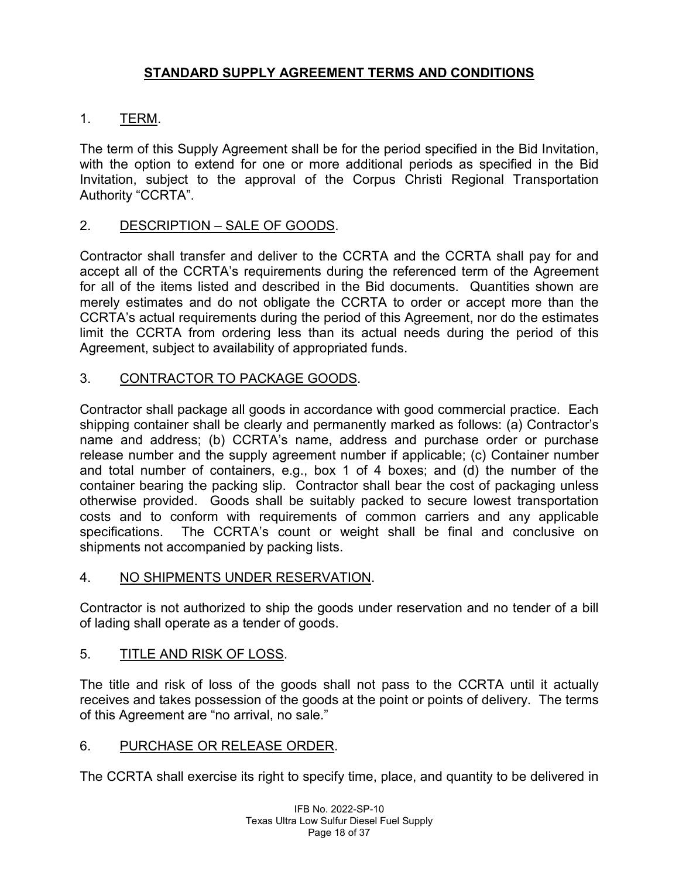# **STANDARD SUPPLY AGREEMENT TERMS AND CONDITIONS**

# 1. TERM.

The term of this Supply Agreement shall be for the period specified in the Bid Invitation, with the option to extend for one or more additional periods as specified in the Bid Invitation, subject to the approval of the Corpus Christi Regional Transportation Authority "CCRTA".

# 2. DESCRIPTION – SALE OF GOODS.

Contractor shall transfer and deliver to the CCRTA and the CCRTA shall pay for and accept all of the CCRTA's requirements during the referenced term of the Agreement for all of the items listed and described in the Bid documents. Quantities shown are merely estimates and do not obligate the CCRTA to order or accept more than the CCRTA's actual requirements during the period of this Agreement, nor do the estimates limit the CCRTA from ordering less than its actual needs during the period of this Agreement, subject to availability of appropriated funds.

# 3. CONTRACTOR TO PACKAGE GOODS.

Contractor shall package all goods in accordance with good commercial practice. Each shipping container shall be clearly and permanently marked as follows: (a) Contractor's name and address; (b) CCRTA's name, address and purchase order or purchase release number and the supply agreement number if applicable; (c) Container number and total number of containers, e.g., box 1 of 4 boxes; and (d) the number of the container bearing the packing slip. Contractor shall bear the cost of packaging unless otherwise provided. Goods shall be suitably packed to secure lowest transportation costs and to conform with requirements of common carriers and any applicable specifications. The CCRTA's count or weight shall be final and conclusive on shipments not accompanied by packing lists.

# 4. NO SHIPMENTS UNDER RESERVATION.

Contractor is not authorized to ship the goods under reservation and no tender of a bill of lading shall operate as a tender of goods.

# 5. TITLE AND RISK OF LOSS.

The title and risk of loss of the goods shall not pass to the CCRTA until it actually receives and takes possession of the goods at the point or points of delivery. The terms of this Agreement are "no arrival, no sale."

# 6. PURCHASE OR RELEASE ORDER.

The CCRTA shall exercise its right to specify time, place, and quantity to be delivered in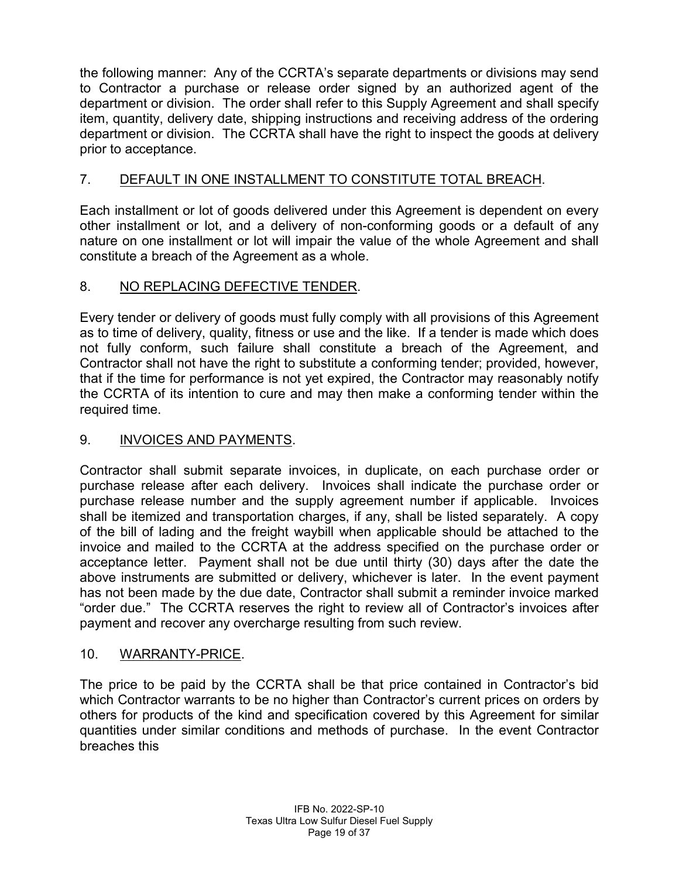the following manner: Any of the CCRTA's separate departments or divisions may send to Contractor a purchase or release order signed by an authorized agent of the department or division. The order shall refer to this Supply Agreement and shall specify item, quantity, delivery date, shipping instructions and receiving address of the ordering department or division. The CCRTA shall have the right to inspect the goods at delivery prior to acceptance.

# 7. DEFAULT IN ONE INSTALLMENT TO CONSTITUTE TOTAL BREACH.

Each installment or lot of goods delivered under this Agreement is dependent on every other installment or lot, and a delivery of non-conforming goods or a default of any nature on one installment or lot will impair the value of the whole Agreement and shall constitute a breach of the Agreement as a whole.

# 8. NO REPLACING DEFECTIVE TENDER.

Every tender or delivery of goods must fully comply with all provisions of this Agreement as to time of delivery, quality, fitness or use and the like. If a tender is made which does not fully conform, such failure shall constitute a breach of the Agreement, and Contractor shall not have the right to substitute a conforming tender; provided, however, that if the time for performance is not yet expired, the Contractor may reasonably notify the CCRTA of its intention to cure and may then make a conforming tender within the required time.

# 9. INVOICES AND PAYMENTS.

Contractor shall submit separate invoices, in duplicate, on each purchase order or purchase release after each delivery. Invoices shall indicate the purchase order or purchase release number and the supply agreement number if applicable. Invoices shall be itemized and transportation charges, if any, shall be listed separately. A copy of the bill of lading and the freight waybill when applicable should be attached to the invoice and mailed to the CCRTA at the address specified on the purchase order or acceptance letter. Payment shall not be due until thirty (30) days after the date the above instruments are submitted or delivery, whichever is later. In the event payment has not been made by the due date, Contractor shall submit a reminder invoice marked "order due." The CCRTA reserves the right to review all of Contractor's invoices after payment and recover any overcharge resulting from such review.

# 10. WARRANTY-PRICE.

The price to be paid by the CCRTA shall be that price contained in Contractor's bid which Contractor warrants to be no higher than Contractor's current prices on orders by others for products of the kind and specification covered by this Agreement for similar quantities under similar conditions and methods of purchase. In the event Contractor breaches this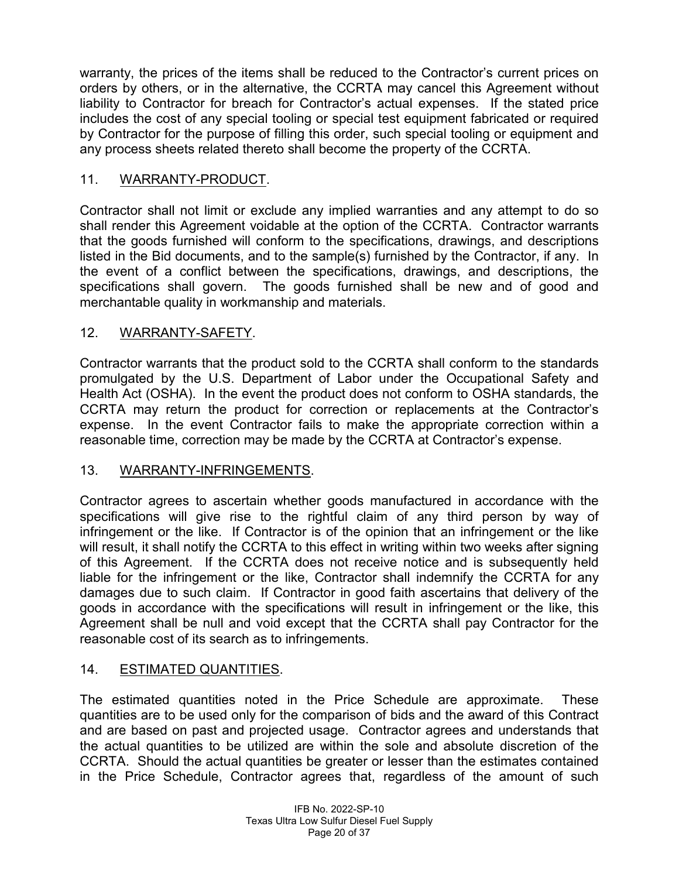warranty, the prices of the items shall be reduced to the Contractor's current prices on orders by others, or in the alternative, the CCRTA may cancel this Agreement without liability to Contractor for breach for Contractor's actual expenses. If the stated price includes the cost of any special tooling or special test equipment fabricated or required by Contractor for the purpose of filling this order, such special tooling or equipment and any process sheets related thereto shall become the property of the CCRTA.

# 11. WARRANTY-PRODUCT.

Contractor shall not limit or exclude any implied warranties and any attempt to do so shall render this Agreement voidable at the option of the CCRTA. Contractor warrants that the goods furnished will conform to the specifications, drawings, and descriptions listed in the Bid documents, and to the sample(s) furnished by the Contractor, if any. In the event of a conflict between the specifications, drawings, and descriptions, the specifications shall govern. The goods furnished shall be new and of good and merchantable quality in workmanship and materials.

# 12. WARRANTY-SAFETY.

Contractor warrants that the product sold to the CCRTA shall conform to the standards promulgated by the U.S. Department of Labor under the Occupational Safety and Health Act (OSHA). In the event the product does not conform to OSHA standards, the CCRTA may return the product for correction or replacements at the Contractor's expense. In the event Contractor fails to make the appropriate correction within a reasonable time, correction may be made by the CCRTA at Contractor's expense.

# 13. WARRANTY-INFRINGEMENTS.

Contractor agrees to ascertain whether goods manufactured in accordance with the specifications will give rise to the rightful claim of any third person by way of infringement or the like. If Contractor is of the opinion that an infringement or the like will result, it shall notify the CCRTA to this effect in writing within two weeks after signing of this Agreement. If the CCRTA does not receive notice and is subsequently held liable for the infringement or the like, Contractor shall indemnify the CCRTA for any damages due to such claim. If Contractor in good faith ascertains that delivery of the goods in accordance with the specifications will result in infringement or the like, this Agreement shall be null and void except that the CCRTA shall pay Contractor for the reasonable cost of its search as to infringements.

# 14. ESTIMATED QUANTITIES.

The estimated quantities noted in the Price Schedule are approximate. These quantities are to be used only for the comparison of bids and the award of this Contract and are based on past and projected usage. Contractor agrees and understands that the actual quantities to be utilized are within the sole and absolute discretion of the CCRTA. Should the actual quantities be greater or lesser than the estimates contained in the Price Schedule, Contractor agrees that, regardless of the amount of such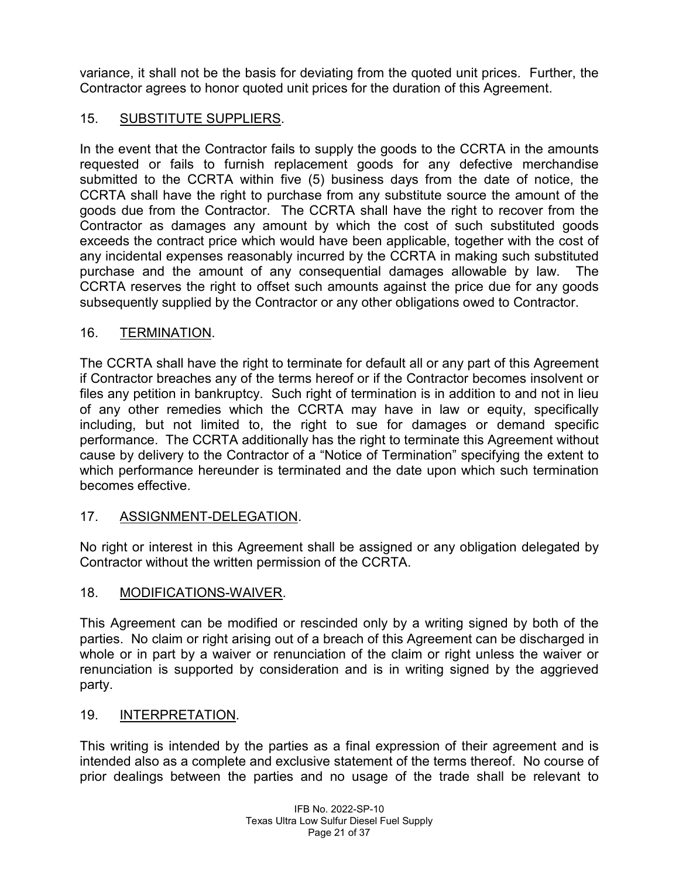variance, it shall not be the basis for deviating from the quoted unit prices. Further, the Contractor agrees to honor quoted unit prices for the duration of this Agreement.

# 15. SUBSTITUTE SUPPLIERS.

In the event that the Contractor fails to supply the goods to the CCRTA in the amounts requested or fails to furnish replacement goods for any defective merchandise submitted to the CCRTA within five (5) business days from the date of notice, the CCRTA shall have the right to purchase from any substitute source the amount of the goods due from the Contractor. The CCRTA shall have the right to recover from the Contractor as damages any amount by which the cost of such substituted goods exceeds the contract price which would have been applicable, together with the cost of any incidental expenses reasonably incurred by the CCRTA in making such substituted purchase and the amount of any consequential damages allowable by law. The CCRTA reserves the right to offset such amounts against the price due for any goods subsequently supplied by the Contractor or any other obligations owed to Contractor.

# 16. TERMINATION.

The CCRTA shall have the right to terminate for default all or any part of this Agreement if Contractor breaches any of the terms hereof or if the Contractor becomes insolvent or files any petition in bankruptcy. Such right of termination is in addition to and not in lieu of any other remedies which the CCRTA may have in law or equity, specifically including, but not limited to, the right to sue for damages or demand specific performance. The CCRTA additionally has the right to terminate this Agreement without cause by delivery to the Contractor of a "Notice of Termination" specifying the extent to which performance hereunder is terminated and the date upon which such termination becomes effective.

# 17. ASSIGNMENT-DELEGATION.

No right or interest in this Agreement shall be assigned or any obligation delegated by Contractor without the written permission of the CCRTA.

#### 18. MODIFICATIONS-WAIVER.

This Agreement can be modified or rescinded only by a writing signed by both of the parties. No claim or right arising out of a breach of this Agreement can be discharged in whole or in part by a waiver or renunciation of the claim or right unless the waiver or renunciation is supported by consideration and is in writing signed by the aggrieved party.

#### 19. INTERPRETATION.

This writing is intended by the parties as a final expression of their agreement and is intended also as a complete and exclusive statement of the terms thereof. No course of prior dealings between the parties and no usage of the trade shall be relevant to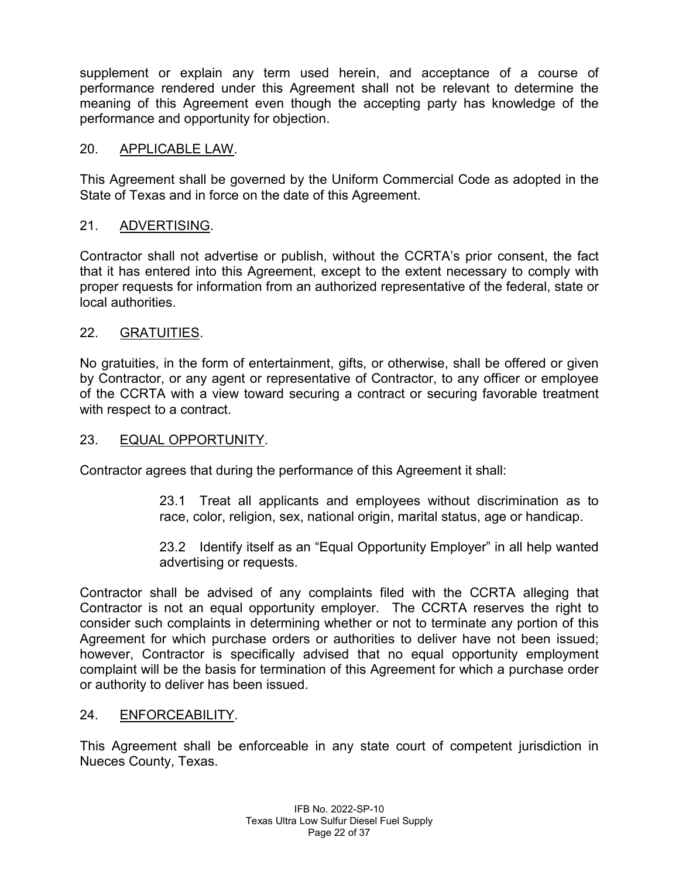supplement or explain any term used herein, and acceptance of a course of performance rendered under this Agreement shall not be relevant to determine the meaning of this Agreement even though the accepting party has knowledge of the performance and opportunity for objection.

# 20. APPLICABLE LAW.

This Agreement shall be governed by the Uniform Commercial Code as adopted in the State of Texas and in force on the date of this Agreement.

# 21. ADVERTISING.

Contractor shall not advertise or publish, without the CCRTA's prior consent, the fact that it has entered into this Agreement, except to the extent necessary to comply with proper requests for information from an authorized representative of the federal, state or local authorities.

# 22. GRATUITIES.

No gratuities, in the form of entertainment, gifts, or otherwise, shall be offered or given by Contractor, or any agent or representative of Contractor, to any officer or employee of the CCRTA with a view toward securing a contract or securing favorable treatment with respect to a contract.

#### 23. EQUAL OPPORTUNITY.

Contractor agrees that during the performance of this Agreement it shall:

23.1 Treat all applicants and employees without discrimination as to race, color, religion, sex, national origin, marital status, age or handicap.

23.2 Identify itself as an "Equal Opportunity Employer" in all help wanted advertising or requests.

Contractor shall be advised of any complaints filed with the CCRTA alleging that Contractor is not an equal opportunity employer. The CCRTA reserves the right to consider such complaints in determining whether or not to terminate any portion of this Agreement for which purchase orders or authorities to deliver have not been issued; however, Contractor is specifically advised that no equal opportunity employment complaint will be the basis for termination of this Agreement for which a purchase order or authority to deliver has been issued.

#### 24. ENFORCEABILITY.

This Agreement shall be enforceable in any state court of competent jurisdiction in Nueces County, Texas.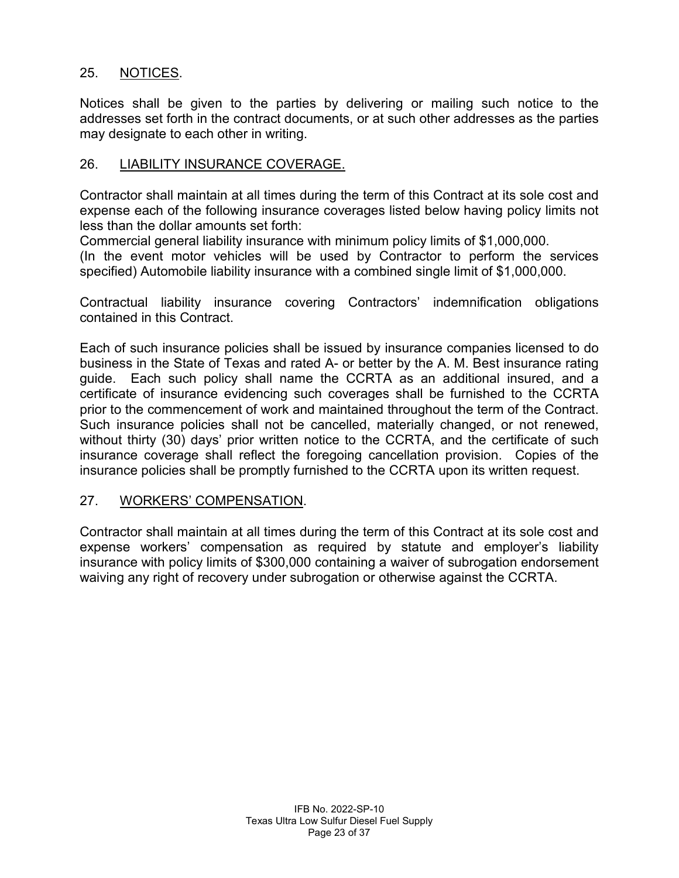# 25. NOTICES.

Notices shall be given to the parties by delivering or mailing such notice to the addresses set forth in the contract documents, or at such other addresses as the parties may designate to each other in writing.

#### 26. LIABILITY INSURANCE COVERAGE.

Contractor shall maintain at all times during the term of this Contract at its sole cost and expense each of the following insurance coverages listed below having policy limits not less than the dollar amounts set forth:

Commercial general liability insurance with minimum policy limits of \$1,000,000.

(In the event motor vehicles will be used by Contractor to perform the services specified) Automobile liability insurance with a combined single limit of \$1,000,000.

Contractual liability insurance covering Contractors' indemnification obligations contained in this Contract.

Each of such insurance policies shall be issued by insurance companies licensed to do business in the State of Texas and rated A- or better by the A. M. Best insurance rating guide. Each such policy shall name the CCRTA as an additional insured, and a certificate of insurance evidencing such coverages shall be furnished to the CCRTA prior to the commencement of work and maintained throughout the term of the Contract. Such insurance policies shall not be cancelled, materially changed, or not renewed, without thirty (30) days' prior written notice to the CCRTA, and the certificate of such insurance coverage shall reflect the foregoing cancellation provision. Copies of the insurance policies shall be promptly furnished to the CCRTA upon its written request.

#### 27. WORKERS' COMPENSATION.

Contractor shall maintain at all times during the term of this Contract at its sole cost and expense workers' compensation as required by statute and employer's liability insurance with policy limits of \$300,000 containing a waiver of subrogation endorsement waiving any right of recovery under subrogation or otherwise against the CCRTA.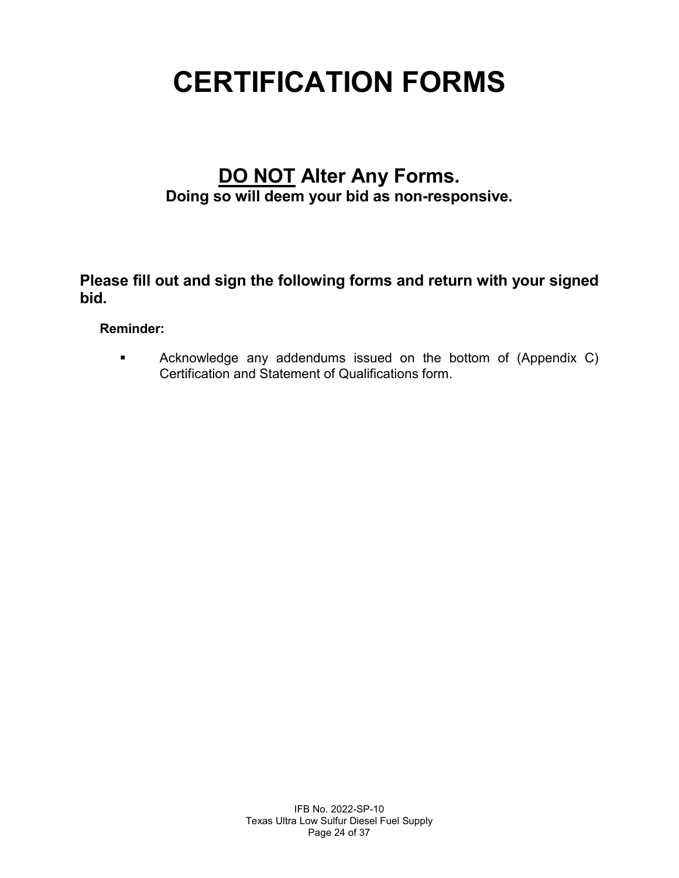# **CERTIFICATION FORMS**

# **DO NOT Alter Any Forms.**

**Doing so will deem your bid as non-responsive.**

**Please fill out and sign the following forms and return with your signed bid.**

# **Reminder:**

**EXEDENT** Acknowledge any addendums issued on the bottom of (Appendix C) Certification and Statement of Qualifications form.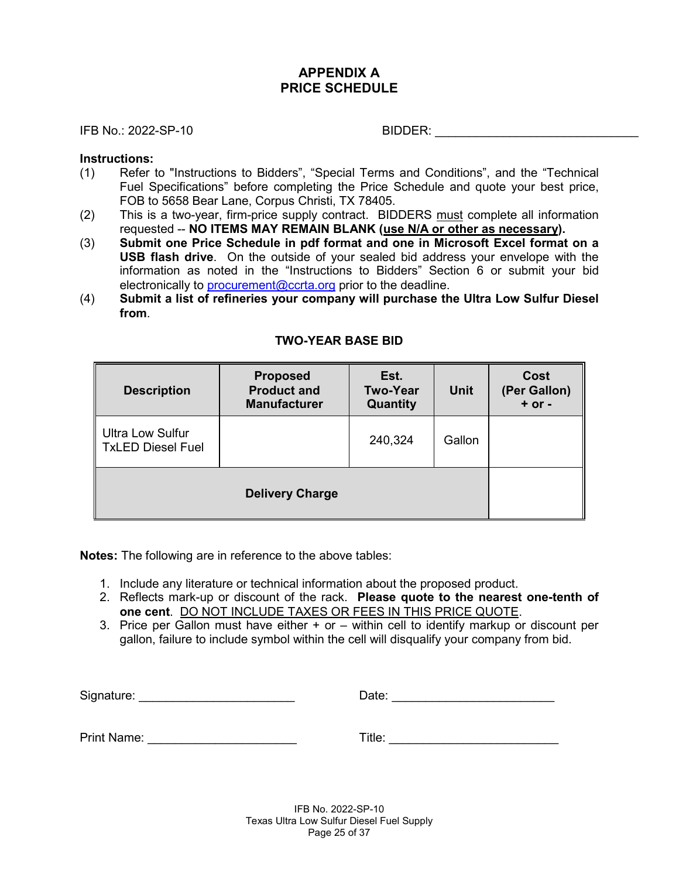# **APPENDIX A PRICE SCHEDULE**

IFB No.: 2022-SP-10 BIDDER:

#### **Instructions:**

- (1) Refer to "Instructions to Bidders", "Special Terms and Conditions", and the "Technical Fuel Specifications" before completing the Price Schedule and quote your best price, FOB to 5658 Bear Lane, Corpus Christi, TX 78405.
- (2) This is a two-year, firm-price supply contract. BIDDERS must complete all information requested -- **NO ITEMS MAY REMAIN BLANK (use N/A or other as necessary).**
- (3) **Submit one Price Schedule in pdf format and one in Microsoft Excel format on a USB flash drive**. On the outside of your sealed bid address your envelope with the information as noted in the "Instructions to Bidders" Section 6 or submit your bid electronically to [procurement@ccrta.org](mailto:procurement@ccrta.org) prior to the deadline.
- (4) **Submit a list of refineries your company will purchase the Ultra Low Sulfur Diesel from**.

| <b>Description</b>                                  | <b>Proposed</b><br><b>Product and</b><br><b>Manufacturer</b> | Est.<br><b>Two-Year</b><br><b>Quantity</b> | <b>Unit</b> | Cost<br>(Per Gallon)<br>$+$ or $-$ |
|-----------------------------------------------------|--------------------------------------------------------------|--------------------------------------------|-------------|------------------------------------|
| <b>Ultra Low Sulfur</b><br><b>TxLED Diesel Fuel</b> |                                                              | 240,324                                    | Gallon      |                                    |
|                                                     | <b>Delivery Charge</b>                                       |                                            |             |                                    |

#### **TWO-YEAR BASE BID**

**Notes:** The following are in reference to the above tables:

- 1. Include any literature or technical information about the proposed product.
- 2. Reflects mark-up or discount of the rack. **Please quote to the nearest one-tenth of one cent**. DO NOT INCLUDE TAXES OR FEES IN THIS PRICE QUOTE.
- 3. Price per Gallon must have either + or within cell to identify markup or discount per gallon, failure to include symbol within the cell will disqualify your company from bid.

Signature: \_\_\_\_\_\_\_\_\_\_\_\_\_\_\_\_\_\_\_\_\_\_\_ Date: \_\_\_\_\_\_\_\_\_\_\_\_\_\_\_\_\_\_\_\_\_\_\_\_

Print Name: **Example:**  $\blacksquare$ 

| Title: |
|--------|
|--------|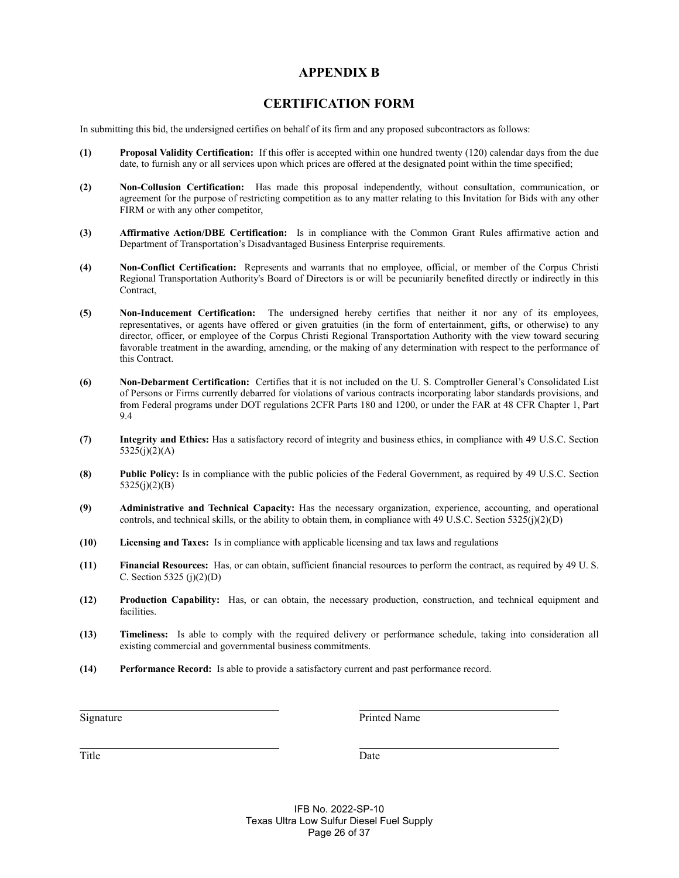#### **APPENDIX B**

#### **CERTIFICATION FORM**

In submitting this bid, the undersigned certifies on behalf of its firm and any proposed subcontractors as follows:

- **(1) Proposal Validity Certification:** If this offer is accepted within one hundred twenty (120) calendar days from the due date, to furnish any or all services upon which prices are offered at the designated point within the time specified;
- **(2) Non-Collusion Certification:** Has made this proposal independently, without consultation, communication, or agreement for the purpose of restricting competition as to any matter relating to this Invitation for Bids with any other FIRM or with any other competitor,
- **(3) Affirmative Action/DBE Certification:** Is in compliance with the Common Grant Rules affirmative action and Department of Transportation's Disadvantaged Business Enterprise requirements.
- **(4) Non-Conflict Certification:** Represents and warrants that no employee, official, or member of the Corpus Christi Regional Transportation Authority's Board of Directors is or will be pecuniarily benefited directly or indirectly in this Contract,
- **(5) Non-Inducement Certification:** The undersigned hereby certifies that neither it nor any of its employees, representatives, or agents have offered or given gratuities (in the form of entertainment, gifts, or otherwise) to any director, officer, or employee of the Corpus Christi Regional Transportation Authority with the view toward securing favorable treatment in the awarding, amending, or the making of any determination with respect to the performance of this Contract.
- **(6) Non-Debarment Certification:** Certifies that it is not included on the U. S. Comptroller General's Consolidated List of Persons or Firms currently debarred for violations of various contracts incorporating labor standards provisions, and from Federal programs under DOT regulations 2CFR Parts 180 and 1200, or under the FAR at 48 CFR Chapter 1, Part 9.4
- **(7) Integrity and Ethics:** Has a satisfactory record of integrity and business ethics, in compliance with 49 U.S.C. Section  $5325(j)(2)(A)$
- **(8) Public Policy:** Is in compliance with the public policies of the Federal Government, as required by 49 U.S.C. Section  $5325(j)(2)(B)$
- **(9) Administrative and Technical Capacity:** Has the necessary organization, experience, accounting, and operational controls, and technical skills, or the ability to obtain them, in compliance with 49 U.S.C. Section 5325(j)(2)(D)
- **(10) Licensing and Taxes:** Is in compliance with applicable licensing and tax laws and regulations
- **(11) Financial Resources:** Has, or can obtain, sufficient financial resources to perform the contract, as required by 49 U. S. C. Section 5325 (j)(2)(D)
- **(12) Production Capability:** Has, or can obtain, the necessary production, construction, and technical equipment and facilities.
- **(13) Timeliness:** Is able to comply with the required delivery or performance schedule, taking into consideration all existing commercial and governmental business commitments.
- **(14) Performance Record:** Is able to provide a satisfactory current and past performance record.

Signature Printed Name

Title Date

IFB No. 2022-SP-10 Texas Ultra Low Sulfur Diesel Fuel Supply Page 26 of 37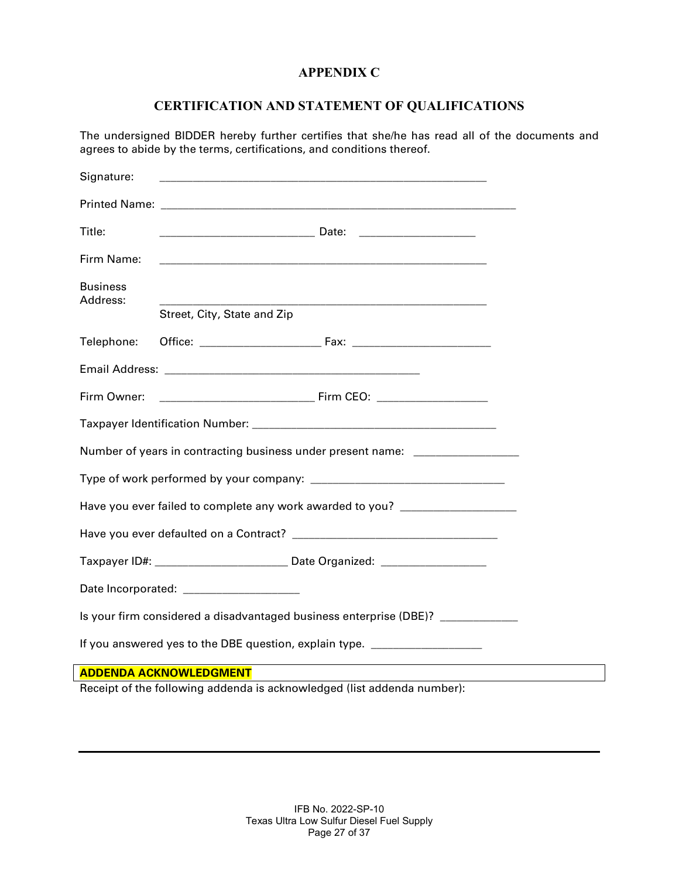# **APPENDIX C**

# **CERTIFICATION AND STATEMENT OF QUALIFICATIONS**

The undersigned BIDDER hereby further certifies that she/he has read all of the documents and agrees to abide by the terms, certifications, and conditions thereof.

| Signature:                                                                       |                                                                                  |  |  |  |  |  |
|----------------------------------------------------------------------------------|----------------------------------------------------------------------------------|--|--|--|--|--|
|                                                                                  |                                                                                  |  |  |  |  |  |
| Title:                                                                           |                                                                                  |  |  |  |  |  |
| Firm Name:                                                                       |                                                                                  |  |  |  |  |  |
| <b>Business</b><br>Address:                                                      |                                                                                  |  |  |  |  |  |
|                                                                                  | Street, City, State and Zip                                                      |  |  |  |  |  |
| Telephone:                                                                       |                                                                                  |  |  |  |  |  |
|                                                                                  |                                                                                  |  |  |  |  |  |
| Firm Owner:                                                                      |                                                                                  |  |  |  |  |  |
|                                                                                  |                                                                                  |  |  |  |  |  |
|                                                                                  | Number of years in contracting business under present name: ____________________ |  |  |  |  |  |
|                                                                                  |                                                                                  |  |  |  |  |  |
| Have you ever failed to complete any work awarded to you? ______________________ |                                                                                  |  |  |  |  |  |
|                                                                                  |                                                                                  |  |  |  |  |  |
| Taxpayer ID#: __________________________ Date Organized: _______________________ |                                                                                  |  |  |  |  |  |
| Date Incorporated: _______________________                                       |                                                                                  |  |  |  |  |  |
| Is your firm considered a disadvantaged business enterprise (DBE)? ____________  |                                                                                  |  |  |  |  |  |
| If you answered yes to the DBE question, explain type. ____________________      |                                                                                  |  |  |  |  |  |
| <b>ADDENDA ACKNOWLEDGMENT</b>                                                    |                                                                                  |  |  |  |  |  |
| Receipt of the following addenda is acknowledged (list addenda number):          |                                                                                  |  |  |  |  |  |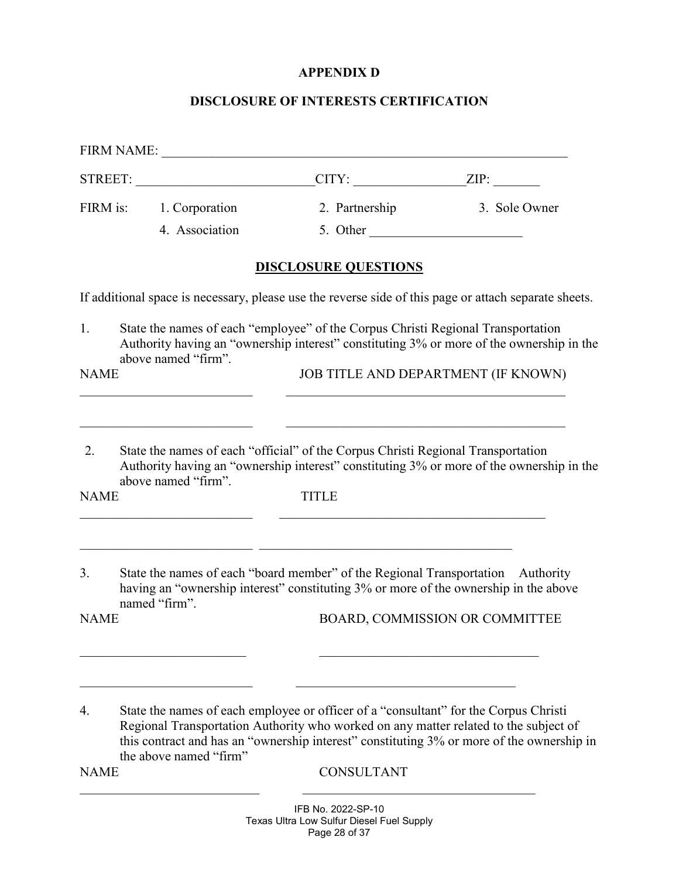# **APPENDIX D**

# **DISCLOSURE OF INTERESTS CERTIFICATION**

|                   | <b>FIRM NAME:</b>                         |                                                                                                           |                                                                                                                                                                                   |
|-------------------|-------------------------------------------|-----------------------------------------------------------------------------------------------------------|-----------------------------------------------------------------------------------------------------------------------------------------------------------------------------------|
|                   | STREET:                                   |                                                                                                           | $CITY:$ $ZIP:$                                                                                                                                                                    |
|                   | FIRM is: 1. Corporation<br>4. Association | 2. Partnership<br>5. Other                                                                                | 3. Sole Owner                                                                                                                                                                     |
|                   |                                           | <b>DISCLOSURE QUESTIONS</b>                                                                               |                                                                                                                                                                                   |
|                   |                                           |                                                                                                           | If additional space is necessary, please use the reverse side of this page or attach separate sheets.                                                                             |
| 1.                | above named "firm".                       | State the names of each "employee" of the Corpus Christi Regional Transportation                          | Authority having an "ownership interest" constituting 3% or more of the ownership in the                                                                                          |
| <b>NAME</b>       |                                           |                                                                                                           | JOB TITLE AND DEPARTMENT (IF KNOWN)                                                                                                                                               |
| 2.<br><b>NAME</b> | above named "firm".                       | State the names of each "official" of the Corpus Christi Regional Transportation<br><b>TITLE</b>          | Authority having an "ownership interest" constituting 3% or more of the ownership in the                                                                                          |
| 3.                | named "firm".                             |                                                                                                           | State the names of each "board member" of the Regional Transportation Authority<br>having an "ownership interest" constituting 3% or more of the ownership in the above           |
| <b>NAME</b>       |                                           |                                                                                                           | BOARD, COMMISSION OR COMMITTEE                                                                                                                                                    |
| 4.<br><b>NAME</b> | the above named "firm"                    | State the names of each employee or officer of a "consultant" for the Corpus Christi<br><b>CONSULTANT</b> | Regional Transportation Authority who worked on any matter related to the subject of<br>this contract and has an "ownership interest" constituting 3% or more of the ownership in |

IFB No. 2022-SP-10 Texas Ultra Low Sulfur Diesel Fuel Supply Page 28 of 37

\_\_\_\_\_\_\_\_\_\_\_\_\_\_\_\_\_\_\_\_\_\_\_\_\_\_\_ \_\_\_\_\_\_\_\_\_\_\_\_\_\_\_\_\_\_\_\_\_\_\_\_\_\_\_\_\_\_\_\_\_\_\_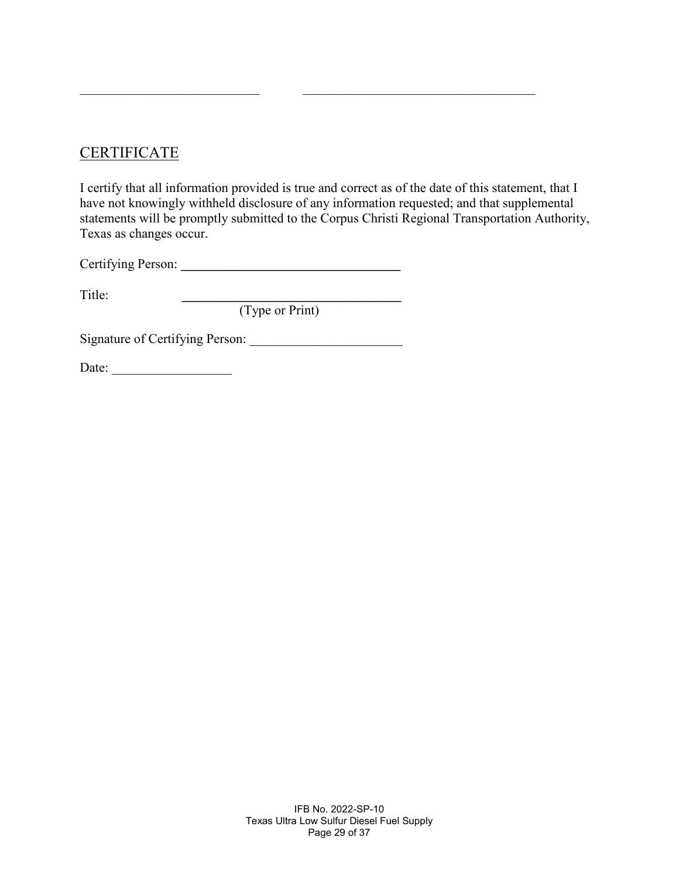# CERTIFICATE

I certify that all information provided is true and correct as of the date of this statement, that I have not knowingly withheld disclosure of any information requested; and that supplemental statements will be promptly submitted to the Corpus Christi Regional Transportation Authority, Texas as changes occur.

\_\_\_\_\_\_\_\_\_\_\_\_\_\_\_\_\_\_\_\_\_\_\_\_\_\_\_ \_\_\_\_\_\_\_\_\_\_\_\_\_\_\_\_\_\_\_\_\_\_\_\_\_\_\_\_\_\_\_\_\_\_\_

Certifying Person: **\_\_\_\_\_\_\_\_\_\_\_\_\_\_\_\_\_\_\_\_\_\_\_\_\_\_\_\_\_\_\_\_\_** 

Title: **\_\_\_\_\_\_\_\_\_\_\_\_\_\_\_\_\_\_\_\_\_\_\_\_\_\_\_\_\_\_\_\_\_**

(Type or Print)

Signature of Certifying Person: \_\_\_\_\_\_\_\_\_\_\_\_\_\_\_\_\_\_\_\_\_\_\_

Date: \_\_\_\_\_\_\_\_\_\_\_\_\_\_\_\_\_\_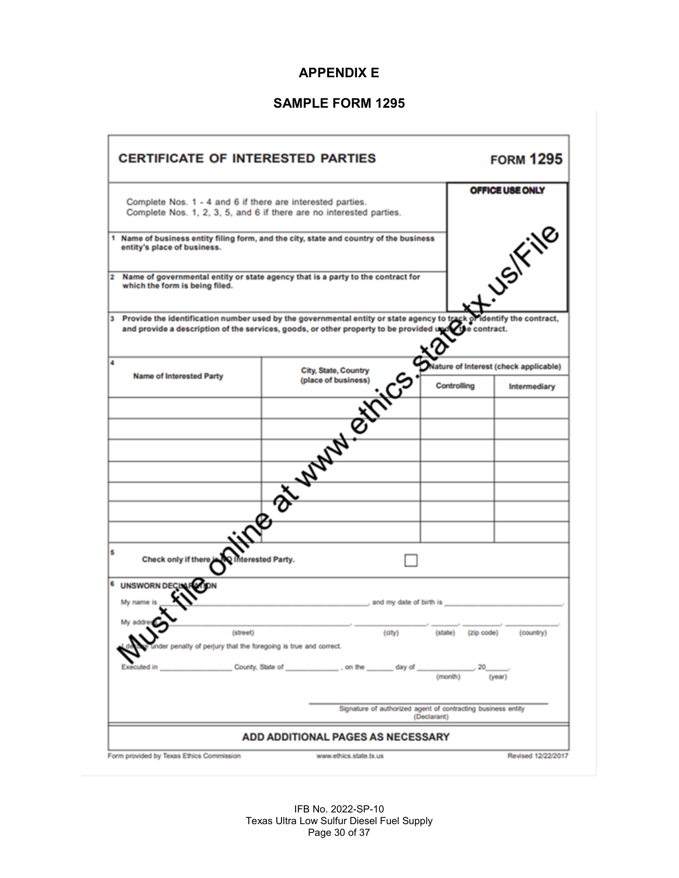# **APPENDIX E**

# **SAMPLE FORM 1295**

| <b>CERTIFICATE OF INTERESTED PARTIES</b>                                                                                                                                                                                 |                                                                                 |             |             | <b>FORM 1295</b>                      |
|--------------------------------------------------------------------------------------------------------------------------------------------------------------------------------------------------------------------------|---------------------------------------------------------------------------------|-------------|-------------|---------------------------------------|
| Complete Nos. 1 - 4 and 6 if there are interested parties.                                                                                                                                                               | Complete Nos. 1, 2, 3, 5, and 6 if there are no interested parties.             |             |             | <b>OFFICE USE ONLY</b>                |
| 1 Name of business entity filing form, and the city, state and country of the business<br>entity's place of business.                                                                                                    |                                                                                 |             |             | LUSIFING                              |
| 2<br>which the form is being filed.                                                                                                                                                                                      | Name of governmental entity or state agency that is a party to the contract for |             |             |                                       |
| 3 Provide the identification number used by the governmental entity or state agency to track of dentify the contract, and provide a description of the services, goods, or other property to be provided up to contract. |                                                                                 | <b>BIC</b>  |             |                                       |
|                                                                                                                                                                                                                          |                                                                                 |             |             | Nature of Interest (check applicable) |
|                                                                                                                                                                                                                          |                                                                                 |             | Controlling | Intermediary                          |
|                                                                                                                                                                                                                          |                                                                                 |             |             |                                       |
|                                                                                                                                                                                                                          |                                                                                 |             |             |                                       |
|                                                                                                                                                                                                                          |                                                                                 |             |             |                                       |
|                                                                                                                                                                                                                          |                                                                                 |             |             |                                       |
|                                                                                                                                                                                                                          |                                                                                 |             |             |                                       |
|                                                                                                                                                                                                                          |                                                                                 |             |             |                                       |
|                                                                                                                                                                                                                          |                                                                                 |             |             |                                       |
|                                                                                                                                                                                                                          |                                                                                 |             |             |                                       |
|                                                                                                                                                                                                                          |                                                                                 |             |             |                                       |
| <b>UNSWORN DEC</b><br>My name is                                                                                                                                                                                         | Check only if there Children Barry.                                             |             |             |                                       |
| My address<br>der penalty of perjury that the foregoing is true and correct.                                                                                                                                             |                                                                                 |             | (zip code)  | (country)                             |
| ixecuted in                                                                                                                                                                                                              | County, State of county, State of county, State of                              | (month)     |             | (year)                                |
|                                                                                                                                                                                                                          | Signature of authorized agent of contracting business entity                    | (Declarant) |             |                                       |
|                                                                                                                                                                                                                          | <b>ADD ADDITIONAL PAGES AS NECESSARY</b>                                        |             |             |                                       |
| Form provided by Texas Ethics Commission                                                                                                                                                                                 | www.ethics.state.tx.us                                                          |             |             | Revised 12/22/2017                    |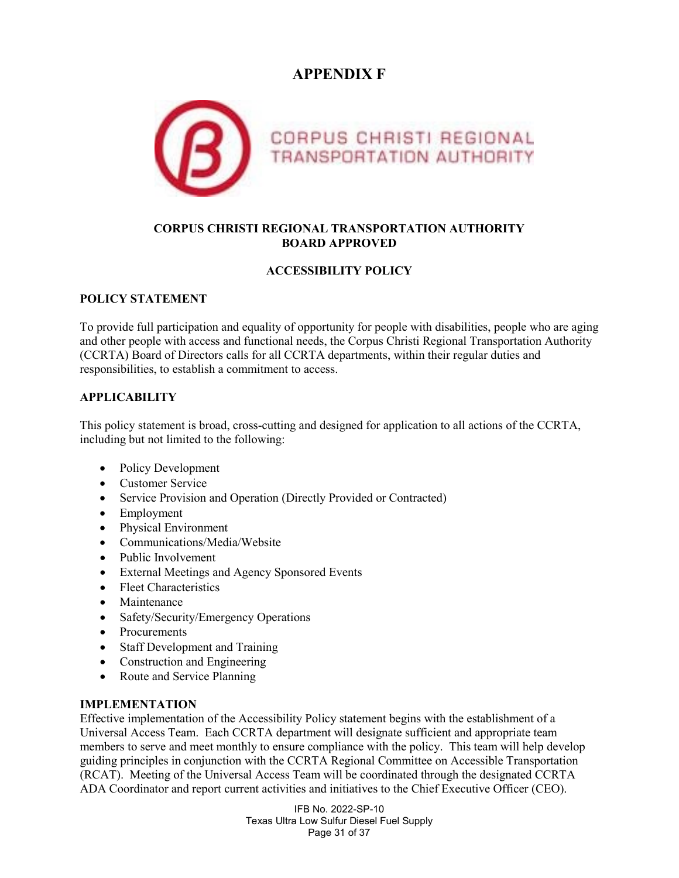# **APPENDIX F**



#### **CORPUS CHRISTI REGIONAL TRANSPORTATION AUTHORITY BOARD APPROVED**

#### **ACCESSIBILITY POLICY**

#### **POLICY STATEMENT**

To provide full participation and equality of opportunity for people with disabilities, people who are aging and other people with access and functional needs, the Corpus Christi Regional Transportation Authority (CCRTA) Board of Directors calls for all CCRTA departments, within their regular duties and responsibilities, to establish a commitment to access.

#### **APPLICABILITY**

This policy statement is broad, cross-cutting and designed for application to all actions of the CCRTA, including but not limited to the following:

- Policy Development
- Customer Service
- Service Provision and Operation (Directly Provided or Contracted)
- Employment
- Physical Environment
- Communications/Media/Website
- Public Involvement
- External Meetings and Agency Sponsored Events
- Fleet Characteristics
- Maintenance
- Safety/Security/Emergency Operations
- Procurements
- Staff Development and Training
- Construction and Engineering
- Route and Service Planning

#### **IMPLEMENTATION**

Effective implementation of the Accessibility Policy statement begins with the establishment of a Universal Access Team. Each CCRTA department will designate sufficient and appropriate team members to serve and meet monthly to ensure compliance with the policy. This team will help develop guiding principles in conjunction with the CCRTA Regional Committee on Accessible Transportation (RCAT). Meeting of the Universal Access Team will be coordinated through the designated CCRTA ADA Coordinator and report current activities and initiatives to the Chief Executive Officer (CEO).

> IFB No. 2022-SP-10 Texas Ultra Low Sulfur Diesel Fuel Supply Page 31 of 37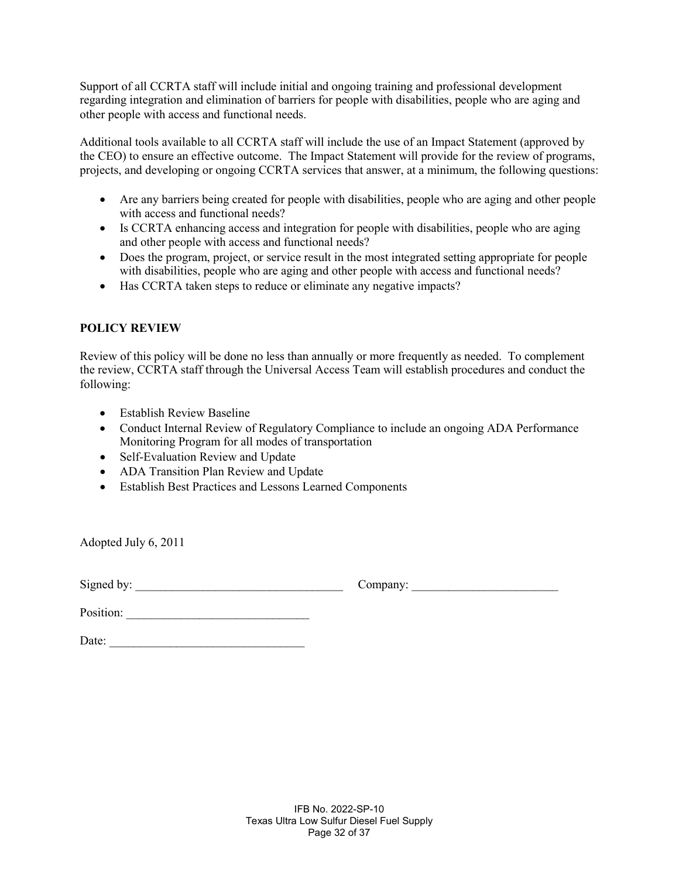Support of all CCRTA staff will include initial and ongoing training and professional development regarding integration and elimination of barriers for people with disabilities, people who are aging and other people with access and functional needs.

Additional tools available to all CCRTA staff will include the use of an Impact Statement (approved by the CEO) to ensure an effective outcome. The Impact Statement will provide for the review of programs, projects, and developing or ongoing CCRTA services that answer, at a minimum, the following questions:

- Are any barriers being created for people with disabilities, people who are aging and other people with access and functional needs?
- Is CCRTA enhancing access and integration for people with disabilities, people who are aging and other people with access and functional needs?
- Does the program, project, or service result in the most integrated setting appropriate for people with disabilities, people who are aging and other people with access and functional needs?
- Has CCRTA taken steps to reduce or eliminate any negative impacts?

#### **POLICY REVIEW**

Review of this policy will be done no less than annually or more frequently as needed. To complement the review, CCRTA staff through the Universal Access Team will establish procedures and conduct the following:

- Establish Review Baseline
- Conduct Internal Review of Regulatory Compliance to include an ongoing ADA Performance Monitoring Program for all modes of transportation
- Self-Evaluation Review and Update
- ADA Transition Plan Review and Update
- Establish Best Practices and Lessons Learned Components

Adopted July 6, 2011

Signed by: \_\_\_\_\_\_\_\_\_\_\_\_\_\_\_\_\_\_\_\_\_\_\_\_\_\_\_\_\_\_\_\_\_\_ Company: \_\_\_\_\_\_\_\_\_\_\_\_\_\_\_\_\_\_\_\_\_\_\_\_

| Company: |
|----------|
|----------|

Position: \_\_\_\_\_\_\_\_\_\_\_\_\_\_\_\_\_\_\_\_\_\_\_\_\_\_\_\_\_\_

Date: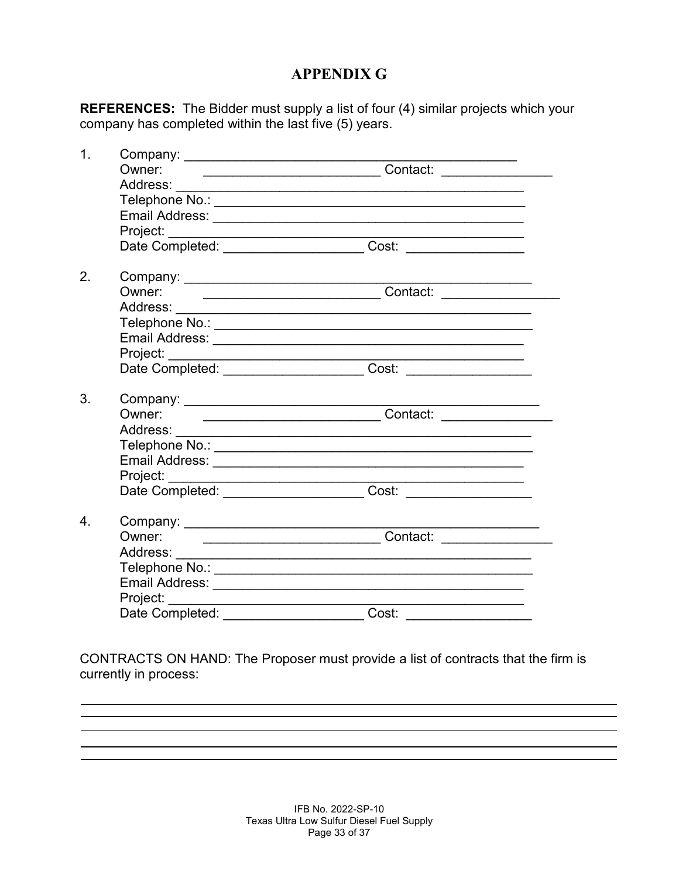# **APPENDIX G**

**REFERENCES:** The Bidder must supply a list of four (4) similar projects which your company has completed within the last five (5) years.

| $\mathbf 1$ .    |                           |                                                                                  |  |
|------------------|---------------------------|----------------------------------------------------------------------------------|--|
|                  | Owner:                    | ____________________________________Contact: ___________________________________ |  |
|                  |                           |                                                                                  |  |
|                  |                           |                                                                                  |  |
|                  |                           |                                                                                  |  |
|                  |                           |                                                                                  |  |
|                  |                           | Date Completed: _______________________Cost: ___________________________________ |  |
| 2.               |                           | Company: $\frac{1}{2}$                                                           |  |
|                  | Owner:                    |                                                                                  |  |
|                  |                           |                                                                                  |  |
|                  |                           |                                                                                  |  |
|                  |                           |                                                                                  |  |
|                  |                           |                                                                                  |  |
|                  |                           | Date Completed: COST COST COST CONTINUES                                         |  |
| 3.               |                           | Company: $\overline{\phantom{a}}$                                                |  |
|                  | Owner:                    |                                                                                  |  |
|                  |                           |                                                                                  |  |
|                  |                           |                                                                                  |  |
|                  |                           |                                                                                  |  |
|                  |                           |                                                                                  |  |
|                  |                           |                                                                                  |  |
| $\overline{4}$ . |                           |                                                                                  |  |
|                  | Owner:                    |                                                                                  |  |
|                  |                           |                                                                                  |  |
|                  |                           |                                                                                  |  |
|                  |                           |                                                                                  |  |
|                  |                           |                                                                                  |  |
|                  | Date Completed: _________ | Cost:                                                                            |  |

CONTRACTS ON HAND: The Proposer must provide a list of contracts that the firm is currently in process: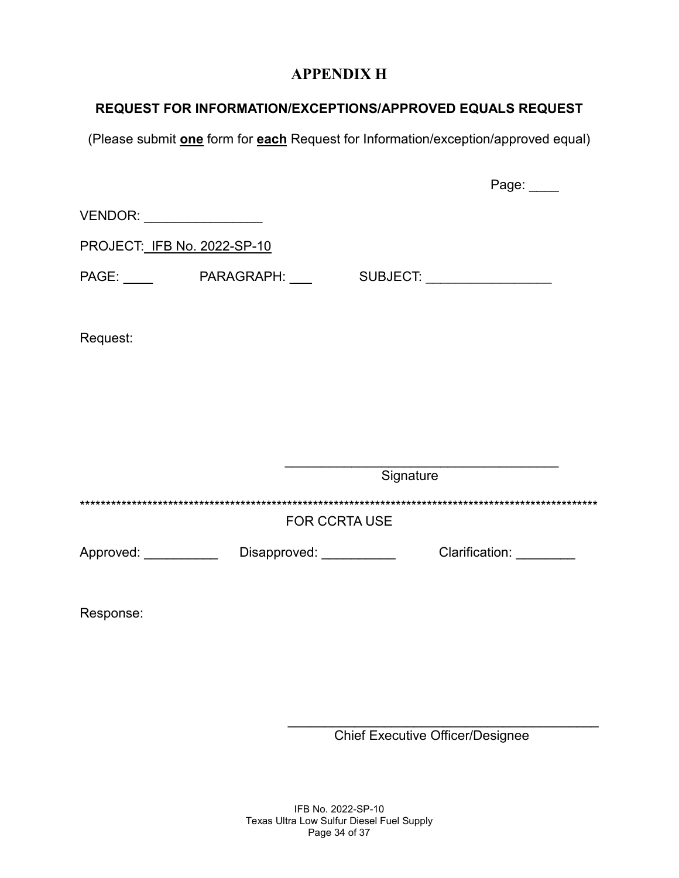# **APPENDIX H**

# **REQUEST FOR INFORMATION/EXCEPTIONS/APPROVED EQUALS REQUEST**

(Please submit **one** form for **each** Request for Information/exception/approved equal)

|                             |                                                               |                      | Page:                   |  |
|-----------------------------|---------------------------------------------------------------|----------------------|-------------------------|--|
| VENDOR: ___________________ |                                                               |                      |                         |  |
| PROJECT: IFB No. 2022-SP-10 |                                                               |                      |                         |  |
|                             | PAGE: _____    PARAGRAPH: ____    SUBJECT: __________________ |                      |                         |  |
| Request:                    |                                                               |                      |                         |  |
|                             |                                                               |                      |                         |  |
|                             |                                                               |                      |                         |  |
|                             |                                                               | Signature            |                         |  |
|                             |                                                               | <b>FOR CCRTA USE</b> |                         |  |
|                             | Approved: ____________ Disapproved: ___________               |                      | Clarification: ________ |  |
|                             |                                                               |                      |                         |  |

Response:

\_\_\_\_\_\_\_\_\_\_\_\_\_\_\_\_\_\_\_\_\_\_\_\_\_\_\_\_\_\_\_\_\_\_\_\_\_\_\_\_\_\_ Chief Executive Officer/Designee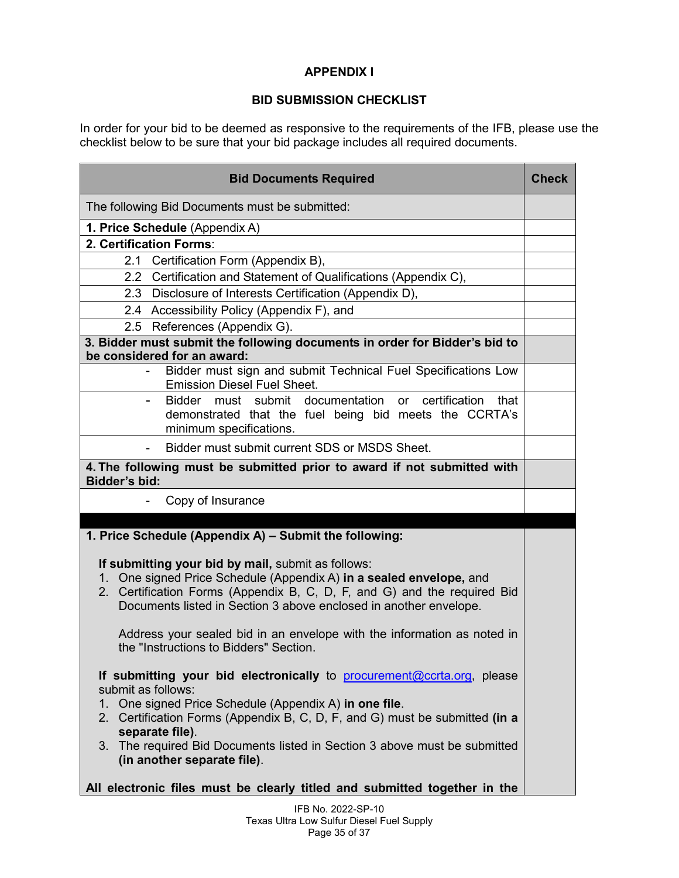#### **APPENDIX I**

#### **BID SUBMISSION CHECKLIST**

In order for your bid to be deemed as responsive to the requirements of the IFB, please use the checklist below to be sure that your bid package includes all required documents.

| <b>Bid Documents Required</b>                                                                                                                                                                                                                                                                                                                                                                                                                                                                                                                                                                                                                                                                                                            | <b>Check</b> |
|------------------------------------------------------------------------------------------------------------------------------------------------------------------------------------------------------------------------------------------------------------------------------------------------------------------------------------------------------------------------------------------------------------------------------------------------------------------------------------------------------------------------------------------------------------------------------------------------------------------------------------------------------------------------------------------------------------------------------------------|--------------|
| The following Bid Documents must be submitted:                                                                                                                                                                                                                                                                                                                                                                                                                                                                                                                                                                                                                                                                                           |              |
| 1. Price Schedule (Appendix A)                                                                                                                                                                                                                                                                                                                                                                                                                                                                                                                                                                                                                                                                                                           |              |
| 2. Certification Forms:                                                                                                                                                                                                                                                                                                                                                                                                                                                                                                                                                                                                                                                                                                                  |              |
| 2.1 Certification Form (Appendix B),                                                                                                                                                                                                                                                                                                                                                                                                                                                                                                                                                                                                                                                                                                     |              |
| 2.2 Certification and Statement of Qualifications (Appendix C),                                                                                                                                                                                                                                                                                                                                                                                                                                                                                                                                                                                                                                                                          |              |
| 2.3 Disclosure of Interests Certification (Appendix D),                                                                                                                                                                                                                                                                                                                                                                                                                                                                                                                                                                                                                                                                                  |              |
| 2.4 Accessibility Policy (Appendix F), and                                                                                                                                                                                                                                                                                                                                                                                                                                                                                                                                                                                                                                                                                               |              |
| 2.5 References (Appendix G).                                                                                                                                                                                                                                                                                                                                                                                                                                                                                                                                                                                                                                                                                                             |              |
| 3. Bidder must submit the following documents in order for Bidder's bid to<br>be considered for an award:                                                                                                                                                                                                                                                                                                                                                                                                                                                                                                                                                                                                                                |              |
| Bidder must sign and submit Technical Fuel Specifications Low<br><b>Emission Diesel Fuel Sheet.</b>                                                                                                                                                                                                                                                                                                                                                                                                                                                                                                                                                                                                                                      |              |
| Bidder must submit<br>documentation<br>or certification<br>that<br>demonstrated that the fuel being bid meets the CCRTA's<br>minimum specifications.                                                                                                                                                                                                                                                                                                                                                                                                                                                                                                                                                                                     |              |
| Bidder must submit current SDS or MSDS Sheet.                                                                                                                                                                                                                                                                                                                                                                                                                                                                                                                                                                                                                                                                                            |              |
| 4. The following must be submitted prior to award if not submitted with<br><b>Bidder's bid:</b>                                                                                                                                                                                                                                                                                                                                                                                                                                                                                                                                                                                                                                          |              |
| Copy of Insurance                                                                                                                                                                                                                                                                                                                                                                                                                                                                                                                                                                                                                                                                                                                        |              |
|                                                                                                                                                                                                                                                                                                                                                                                                                                                                                                                                                                                                                                                                                                                                          |              |
| 1. Price Schedule (Appendix A) - Submit the following:                                                                                                                                                                                                                                                                                                                                                                                                                                                                                                                                                                                                                                                                                   |              |
| If submitting your bid by mail, submit as follows:<br>1. One signed Price Schedule (Appendix A) in a sealed envelope, and<br>2. Certification Forms (Appendix B, C, D, F, and G) and the required Bid<br>Documents listed in Section 3 above enclosed in another envelope.<br>Address your sealed bid in an envelope with the information as noted in<br>the "Instructions to Bidders" Section.<br>If submitting your bid electronically to procurement@ccrta.org, please<br>submit as follows:<br>1. One signed Price Schedule (Appendix A) in one file.<br>2. Certification Forms (Appendix B, C, D, F, and G) must be submitted (in a<br>separate file).<br>3. The required Bid Documents listed in Section 3 above must be submitted |              |
| (in another separate file).<br>All electronic files must be clearly titled and submitted together in the                                                                                                                                                                                                                                                                                                                                                                                                                                                                                                                                                                                                                                 |              |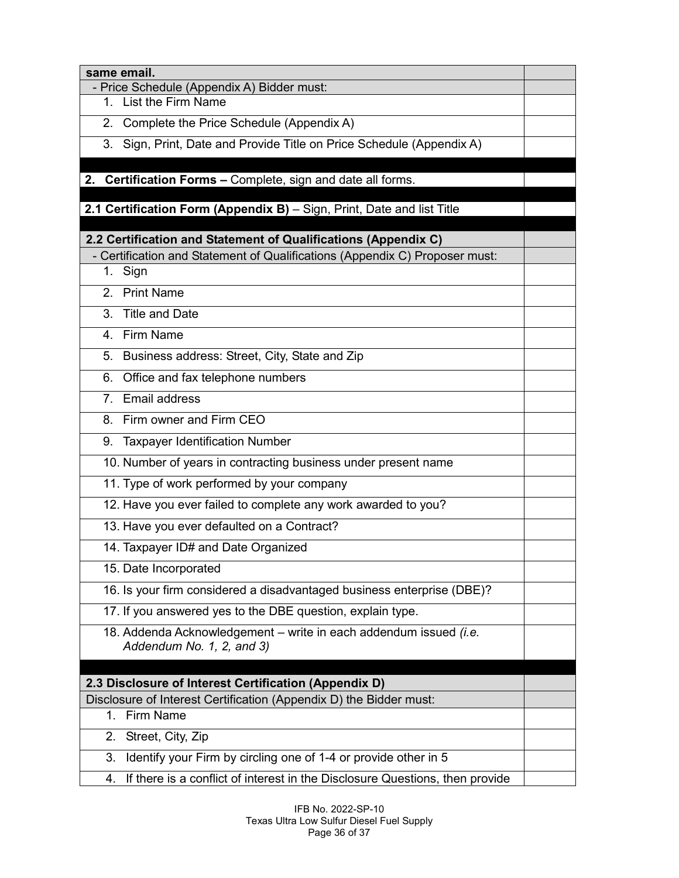| same email.                                                                                    |  |
|------------------------------------------------------------------------------------------------|--|
| - Price Schedule (Appendix A) Bidder must:<br>1. List the Firm Name                            |  |
| Complete the Price Schedule (Appendix A)<br>2.                                                 |  |
| Sign, Print, Date and Provide Title on Price Schedule (Appendix A)<br>3.                       |  |
|                                                                                                |  |
| 2. Certification Forms - Complete, sign and date all forms.                                    |  |
| 2.1 Certification Form (Appendix B) - Sign, Print, Date and list Title                         |  |
|                                                                                                |  |
| 2.2 Certification and Statement of Qualifications (Appendix C)                                 |  |
| - Certification and Statement of Qualifications (Appendix C) Proposer must:<br>Sign<br>1.      |  |
| <b>Print Name</b><br>2 <sub>1</sub>                                                            |  |
| 3.<br><b>Title and Date</b>                                                                    |  |
| 4. Firm Name                                                                                   |  |
| Business address: Street, City, State and Zip<br>5.                                            |  |
| Office and fax telephone numbers<br>6.                                                         |  |
| 7. Email address                                                                               |  |
| Firm owner and Firm CEO<br>8.                                                                  |  |
| <b>Taxpayer Identification Number</b><br>9.                                                    |  |
| 10. Number of years in contracting business under present name                                 |  |
| 11. Type of work performed by your company                                                     |  |
| 12. Have you ever failed to complete any work awarded to you?                                  |  |
|                                                                                                |  |
| 13. Have you ever defaulted on a Contract?                                                     |  |
| 14. Taxpayer ID# and Date Organized                                                            |  |
| 15. Date Incorporated                                                                          |  |
| 16. Is your firm considered a disadvantaged business enterprise (DBE)?                         |  |
| 17. If you answered yes to the DBE question, explain type.                                     |  |
| 18. Addenda Acknowledgement - write in each addendum issued (i.e.<br>Addendum No. 1, 2, and 3) |  |
|                                                                                                |  |
| 2.3 Disclosure of Interest Certification (Appendix D)                                          |  |
| Disclosure of Interest Certification (Appendix D) the Bidder must:                             |  |
| 1. Firm Name                                                                                   |  |
| 2. Street, City, Zip                                                                           |  |
| Identify your Firm by circling one of 1-4 or provide other in 5<br>3.                          |  |
| If there is a conflict of interest in the Disclosure Questions, then provide<br>4.             |  |